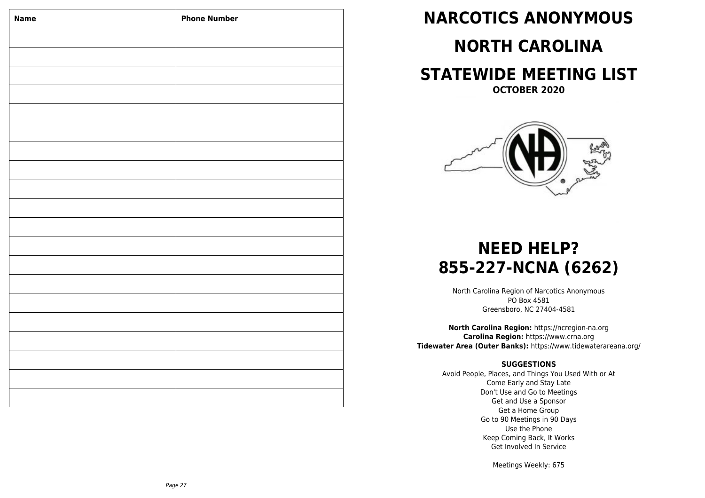| <b>Name</b> | <b>Phone Number</b> |
|-------------|---------------------|
|             |                     |
|             |                     |
|             |                     |
|             |                     |
|             |                     |
|             |                     |
|             |                     |
|             |                     |
|             |                     |
|             |                     |
|             |                     |
|             |                     |
|             |                     |
|             |                     |
|             |                     |
|             |                     |
|             |                     |
|             |                     |
|             |                     |
|             |                     |
|             |                     |

# **NARCOTICS ANONYMOUS**

# **NORTH CAROLINA**

# **STATEWIDE MEETING LIST**

**OCTOBER 2020**



# **NEED HELP? 855-227-NCNA (6262)**

North Carolina Region of Narcotics Anonymous PO Box 4581 Greensboro, NC 27404-4581

**North Carolina Region:** https://ncregion-na.org **Carolina Region:** https://www.crna.org **Tidewater Area (Outer Banks):** https://www.tidewaterareana.org/

# **SUGGESTIONS**

Avoid People, Places, and Things You Used With or At Come Early and Stay Late Don't Use and Go to Meetings Get and Use a Sponsor Get a Home Group Go to 90 Meetings in 90 Days Use the Phone Keep Coming Back, It Works Get Involved In Service

Meetings Weekly: 675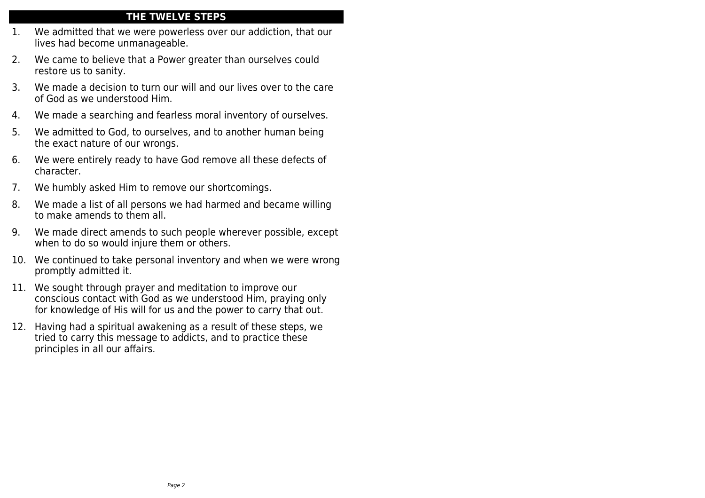# **THE TWELVE STEPS**

- 1. We admitted that we were powerless over our addiction, that our lives had become unmanageable.
- 2. We came to believe that a Power greater than ourselves could restore us to sanity.
- 3. We made a decision to turn our will and our lives over to the care of God as we understood Him.
- 4. We made a searching and fearless moral inventory of ourselves.
- 5. We admitted to God, to ourselves, and to another human being the exact nature of our wrongs.
- 6. We were entirely ready to have God remove all these defects of character.
- 7. We humbly asked Him to remove our shortcomings.
- 8. We made a list of all persons we had harmed and became willing to make amends to them all.
- 9. We made direct amends to such people wherever possible, except when to do so would injure them or others.
- 10. We continued to take personal inventory and when we were wrong promptly admitted it.
- 11. We sought through prayer and meditation to improve our conscious contact with God as we understood Him, praying only for knowledge of His will for us and the power to carry that out.
- 12. Having had a spiritual awakening as a result of these steps, we tried to carry this message to addicts, and to practice these principles in all our affairs.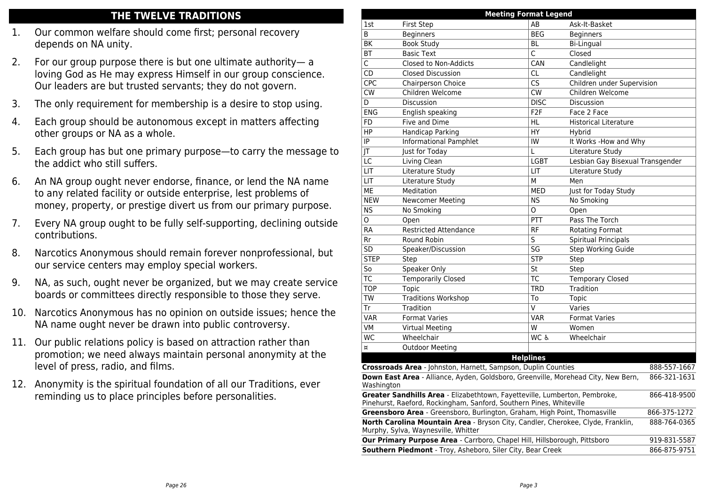# **THE TWELVE TRADITIONS**

- 1. Our common welfare should come first; personal recovery depends on NA unity.
- 2. For our group purpose there is but one ultimate authority— a loving God as He may express Himself in our group conscience. Our leaders are but trusted servants; they do not govern.
- 3. The only requirement for membership is a desire to stop using.
- 4. Each group should be autonomous except in matters affecting other groups or NA as a whole.
- 5. Each group has but one primary purpose—to carry the message to the addict who still suffers.
- 6. An NA group ought never endorse, finance, or lend the NA name to any related facility or outside enterprise, lest problems of money, property, or prestige divert us from our primary purpose.
- 7. Every NA group ought to be fully self-supporting, declining outside contributions.
- 8. Narcotics Anonymous should remain forever nonprofessional, but our service centers may employ special workers.
- 9. NA, as such, ought never be organized, but we may create service boards or committees directly responsible to those they serve.
- 10. Narcotics Anonymous has no opinion on outside issues; hence the NA name ought never be drawn into public controversy.
- 11. Our public relations policy is based on attraction rather than promotion; we need always maintain personal anonymity at the level of press, radio, and films.
- 12. Anonymity is the spiritual foundation of all our Traditions, ever reminding us to place principles before personalities.

| <b>Meeting Format Legend</b>                                                                                                                      |                                                                                                                        |                         |                                  |              |  |
|---------------------------------------------------------------------------------------------------------------------------------------------------|------------------------------------------------------------------------------------------------------------------------|-------------------------|----------------------------------|--------------|--|
| 1st                                                                                                                                               | <b>First Step</b>                                                                                                      | AB                      | Ask-It-Basket                    |              |  |
| B                                                                                                                                                 | <b>Beginners</b>                                                                                                       | <b>BEG</b>              | <b>Beginners</b>                 |              |  |
| BK                                                                                                                                                | <b>Book Study</b>                                                                                                      | BL                      | <b>Bi-Lingual</b>                |              |  |
| BT                                                                                                                                                | <b>Basic Text</b>                                                                                                      | Ċ                       | Closed                           |              |  |
| C                                                                                                                                                 | Closed to Non-Addicts                                                                                                  | CAN                     | Candlelight                      |              |  |
| CD                                                                                                                                                | <b>Closed Discussion</b>                                                                                               | CL                      | Candlelight                      |              |  |
| <b>CPC</b>                                                                                                                                        | Chairperson Choice                                                                                                     | CS                      | Children under Supervision       |              |  |
| <b>CW</b>                                                                                                                                         | Children Welcome                                                                                                       | <b>CW</b>               | Children Welcome                 |              |  |
| D                                                                                                                                                 | Discussion                                                                                                             | <b>DISC</b>             | Discussion                       |              |  |
| <b>ENG</b>                                                                                                                                        | English speaking                                                                                                       | F <sub>2</sub> F        | Face 2 Face                      |              |  |
| FD                                                                                                                                                | <b>Five and Dime</b>                                                                                                   | HL                      | <b>Historical Literature</b>     |              |  |
| HP                                                                                                                                                | Handicap Parking                                                                                                       | HY                      | Hybrid                           |              |  |
| IP                                                                                                                                                | <b>Informational Pamphlet</b>                                                                                          | IW                      | It Works -How and Why            |              |  |
| IT                                                                                                                                                | Just for Today                                                                                                         | Ĺ                       | Literature Study                 |              |  |
| LC                                                                                                                                                | <b>Living Clean</b>                                                                                                    | <b>LGBT</b>             | Lesbian Gay Bisexual Transgender |              |  |
| LIT                                                                                                                                               | Literature Study                                                                                                       | LIT                     | Literature Study                 |              |  |
| LIT                                                                                                                                               | Literature Study                                                                                                       | М                       | Men                              |              |  |
| ME                                                                                                                                                | Meditation                                                                                                             | <b>MED</b>              | Just for Today Study             |              |  |
| <b>NEW</b>                                                                                                                                        | Newcomer Meeting                                                                                                       | NS                      | No Smoking                       |              |  |
| <b>NS</b>                                                                                                                                         | No Smoking                                                                                                             | O                       | Open                             |              |  |
| O                                                                                                                                                 | Open                                                                                                                   | PTT                     | Pass The Torch                   |              |  |
| <b>RA</b>                                                                                                                                         | <b>Restricted Attendance</b>                                                                                           | RF                      | <b>Rotating Format</b>           |              |  |
| Rr                                                                                                                                                | Round Robin                                                                                                            | $\overline{\mathsf{s}}$ | <b>Spiritual Principals</b>      |              |  |
| SD                                                                                                                                                | Speaker/Discussion                                                                                                     | SG                      | <b>Step Working Guide</b>        |              |  |
| <b>STEP</b>                                                                                                                                       | Step                                                                                                                   | <b>STP</b>              | Step                             |              |  |
| So                                                                                                                                                | Speaker Only                                                                                                           | St                      | Step                             |              |  |
| <b>TC</b>                                                                                                                                         | <b>Temporarily Closed</b>                                                                                              | ТC                      | <b>Temporary Closed</b>          |              |  |
| <b>TOP</b>                                                                                                                                        | Topic                                                                                                                  | TRD                     | Tradition                        |              |  |
| TW                                                                                                                                                | <b>Traditions Workshop</b>                                                                                             | To                      | Topic                            |              |  |
| Tr                                                                                                                                                | Tradition                                                                                                              | V                       | Varies                           |              |  |
| <b>VAR</b>                                                                                                                                        | <b>Format Varies</b>                                                                                                   | <b>VAR</b>              | <b>Format Varies</b>             |              |  |
| VM                                                                                                                                                | <b>Virtual Meeting</b>                                                                                                 | W                       | Women                            |              |  |
| <b>WC</b>                                                                                                                                         | Wheelchair                                                                                                             | WC &                    | Wheelchair                       |              |  |
| $\overline{a}$                                                                                                                                    | <b>Outdoor Meeting</b>                                                                                                 |                         |                                  |              |  |
|                                                                                                                                                   |                                                                                                                        | <b>Helplines</b>        |                                  |              |  |
|                                                                                                                                                   | Crossroads Area - Johnston, Harnett, Sampson, Duplin Counties                                                          |                         |                                  | 888-557-1667 |  |
| Washington                                                                                                                                        | <b>Down East Area</b> - Alliance, Ayden, Goldsboro, Greenville, Morehead City, New Bern,                               |                         |                                  | 866-321-1631 |  |
| Greater Sandhills Area - Elizabethtown, Fayetteville, Lumberton, Pembroke,<br>Pinehurst, Raeford, Rockingham, Sanford, Southern Pines, Whiteville |                                                                                                                        |                         |                                  | 866-418-9500 |  |
|                                                                                                                                                   | Greensboro Area - Greensboro, Burlington, Graham, High Point, Thomasville                                              |                         |                                  | 866-375-1272 |  |
|                                                                                                                                                   | North Carolina Mountain Area - Bryson City, Candler, Cherokee, Clyde, Franklin,<br>Murphy, Sylva, Waynesville, Whitter |                         |                                  | 888-764-0365 |  |
| Our Primary Purpose Area - Carrboro, Chapel Hill, Hillsborough, Pittsboro                                                                         |                                                                                                                        |                         |                                  | 919-831-5587 |  |
| Southern Piedmont - Troy, Asheboro, Siler City, Bear Creek                                                                                        |                                                                                                                        |                         |                                  | 866-875-9751 |  |
|                                                                                                                                                   |                                                                                                                        |                         |                                  |              |  |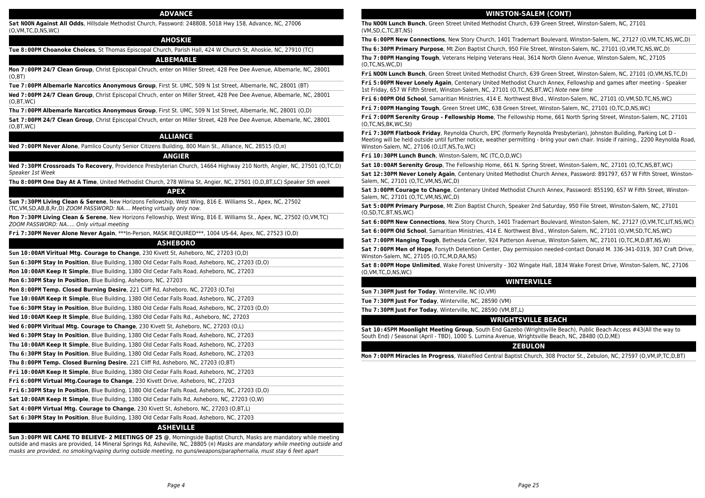#### **ADVANCE**

**Sat NOON Against All Odds**, Hillsdale Methodist Church, Password: 248808, 5018 Hwy 158, Advance, NC, 27006 (O,VM,TC,D,NS,WC)

#### **AHOSKIE**

**Tue 8:00PM Choanoke Choices**, St Thomas Episcopal Church, Parish Hall, 424 W Church St, Ahoskie, NC, 27910 (TC)

#### **ALBEMARLE**

**Mon 7:00PM 24/7 Clean Group**, Christ Episcopal Chruch, enter on Miller Street, 428 Pee Dee Avenue, Albemarle, NC, 28001 (O,BT)

**Tue 7:00PM Albemarle Narcotics Anonymous Group**, First St. UMC, 509 N 1st Street, Albemarle, NC, 28001 (BT)

**Wed 7:00PM 24/7 Clean Group**, Christ Episcopal Chruch, enter on Miller Street, 428 Pee Dee Avenue, Albemarle, NC, 28001 (O,BT,WC)

**Thu 7:00PM Albemarle Narcotics Anonymous Group**, First St. UMC, 509 N 1st Street, Albemarle, NC, 28001 (O,D)

**Sat 7:00PM 24/7 Clean Group**, Christ Episcopal Chruch, enter on Miller Street, 428 Pee Dee Avenue, Albemarle, NC, 28001 (O,BT,WC)

# **ALLIANCE**

**Wed 7:00PM Never Alone**, Pamlico County Senior Citizens Building, 800 Main St., Alliance, NC, 28515 (O,¤)

#### **ANGIER**

**Wed 7:30PM Crossroads To Recovery**, Providence Presbyterian Church, 14664 Highway 210 North, Angier, NC, 27501 (O,TC,D) Speaker 1st Week

**Thu 8:00PM One Day At A Time**, United Methodist Church, 278 Wilma St, Angier, NC, 27501 (O,D,BT,LC) Speaker 5th week

#### **APEX**

**Sun 7:30PM Living Clean & Serene**, New Horizons Fellowship, West Wing, 816 E. Williams St., Apex, NC, 27502 (TC,VM,SD,AB,B,Rr,D) ZOOM PASSWORD: NA.... Meeting virtually only now.

**Mon 7:30PM Living Clean & Serene**, New Horizons Fellowship, West Wing, 816 E. Williams St., Apex, NC, 27502 (O,VM,TC) ZOOM PASSWORD: NA..... Only virtual meeting

**Fri 7:30PM Never Alone Never Again**, \*\*\*In-Person, MASK REQUIRED\*\*\*, 1004 US-64, Apex, NC, 27523 (O,D)

# **ASHEBORO**

**Sun 10:00AM Viritual Mtg. Courage to Change**, 230 Kivett St, Asheboro, NC, 27203 (O,D)

**Sun 6:30PM Stay In Position**, Blue Building, 1380 Old Cedar Falls Road, Asheboro, NC, 27203 (D,O)

**Mon 10:00AM Keep It Simple**, Blue Building, 1380 Old Cedar Falls Road, Asheboro, NC, 27203

**Mon 6:30PM Stay In Position**, Blue Building, Asheboro, NC, 27203

**Mon 8:00PM Temp. Closed Burning Desire**, 221 Cliff Rd, Asheboro, NC, 27203 (O,To)

**Tue 10:00AM Keep It Simple**, Blue Building, 1380 Old Cedar Falls Road, Asheboro, NC, 27203

**Tue 6:30PM Stay in Position**, Blue Building, 1380 Old Cedar Falls Road, Asheboro, NC, 27203 (D,O)

**Wed 10:00AM Keep It Simple**, Blue Building, 1380 Old Cedar Falls Rd., Asheboro, NC, 27203

**Wed 6:00PM Viritual Mtg. Courage to Change**, 230 Kivett St, Asheboro, NC, 27203 (O,L)

**Wed 6:30PM Stay In Position**, Blue Building, 1380 Old Cedar Falls Road, Asheboro, NC, 27203

**Thu 10:00AM Keep It Simple**, Blue Building, 1380 Old Cedar Falls Road, Asheboro, NC, 27203

**Thu 6:30PM Stay In Position**, Blue Building, 1380 Old Cedar Falls Road, Asheboro, NC, 27203

**Thu 8:00PM Temp. Closed Burning Desire**, 221 Cliff Rd, Asheboro, NC, 27203 (O,BT)

**Fri 10:00AM Keep It Simple**, Blue Building, 1380 Old Cedar Falls Road, Asheboro, NC, 27203

**Fri 6:00PM Virtual Mtg.Courage to Change**, 230 Kivett Drive, Asheboro, NC, 27203

**Fri 6:30PM Stay In Position**, Blue Building, 1380 Old Cedar Falls Road, Asheboro, NC, 27203 (D,O)

**Sat 10:00AM Keep It Simple**, Blue Building, 1380 Old Cedar Falls Rd, Asheboro, NC, 27203 (O,W)

**Sat 4:00PM Virtual Mtg. Courage to Change**, 230 Kivett St, Asheboro, NC, 27203 (O,BT,L)

**Sat 6:30PM Stay In Position**, Blue Building, 1380 Old Cedar Falls Road, Asheboro, NC, 27203

# **ASHEVILLE**

**Sun 3:00PM WE CAME TO BELIEVE- 2 MEETINGS OF 25 @**, Morningside Baptist Church, Masks are mandatory while meeting outside and masks are provided, 14 Mineral Springs Rd, Asheville, NC, 28805 (¤) Masks are mandatory while meeting outside and masks are provided, no smoking/vaping during outside meeting, no guns/weapons/paraphernalia, must stay 6 feet apart

#### **WINSTON-SALEM (CONT)**

**Thu NOON Lunch Bunch**, Green Street United Methodist Church, 639 Green Street, Winston-Salem, NC, 27101 (VM,SD,C,TC,BT,NS)

**Thu 6:00PM New Connections**, New Story Church, 1401 Trademart Boulevard, Winston-Salem, NC, 27127 (O,VM,TC,NS,WC,D)

**Thu 6:30PM Primary Purpose**, Mt Zion Baptist Church, 950 File Street, Winston-Salem, NC, 27101 (O,VM,TC,NS,WC,D)

**Thu 7:00PM Hanging Tough**, Veterans Helping Veterans Heal, 3614 North Glenn Avenue, Winston-Salem, NC, 27105 (O,TC,NS,WC,D)

**Fri NOON Lunch Bunch**, Green Street United Methodist Church, 639 Green Street, Winston-Salem, NC, 27101 (O,VM,NS,TC,D)

**Fri 5:00PM Never Lonely Again**, Centenary United Methodist Church Annex, Fellowship and games after meeting - Speaker 1st Friday, 657 W Fifth Street, Winston-Salem, NC, 27101 (O,TC,NS,BT,WC) Note new time

**Fri 6:00PM Old School**, Samaritian Ministries, 414 E. Northwest Blvd., Winston-Salem, NC, 27101 (O,VM,SD,TC,NS,WC)

**Fri 7:00PM Hanging Tough**, Green Street UMC, 638 Green Street, Winston-Salem, NC, 27101 (O,TC,D,NS,WC)

**Fri 7:00PM Serenity Group - Fellowship Home**, The Fellowship Home, 661 North Spring Street, Winston-Salem, NC, 27101 (O,TC,NS,BK,WC,St)

**Fri 7:30PM Flatbook Friday**, Reynolda Church, EPC (formerly Reynolda Presbyterian), Johnston Building, Parking Lot D - Meeting will be held outside until further notice, weather permitting - bring your own chair. Inside if raining., 2200 Reynolda Road, Winston-Salem, NC, 27106 (O,LIT,NS,To,WC)

**Fri 10:30PM Lunch Bunch**, Winston-Salem, NC (TC,O,D,WC)

**Sat 10:00AM Serenity Group**, The Fellowship Home, 661 N. Spring Street, Winston-Salem, NC, 27101 (O,TC,NS,BT,WC)

**Sat 12:30PM Never Lonely Again**, Centenary United Methodist Church Annex, Password: 891797, 657 W Fifth Street, Winston-Salem, NC, 27101 (O,TC,VM,NS,WC,D)

**Sat 3:00PM Courage to Change**, Centenary United Methodist Church Annex, Password: 855190, 657 W Fifth Street, Winston-Salem, NC, 27101 (O,TC,VM,NS,WC,D)

**Sat 5:00PM Primary Purpose**, Mt Zion Baptist Church, Speaker 2nd Saturday, 950 File Street, Winston-Salem, NC, 27101 (O,SD,TC,BT,NS,WC)

**Sat 6:00PM New Connections**, New Story Church, 1401 Trademart Boulevard, Winston-Salem, NC, 27127 (O,VM,TC,LIT,NS,WC)

**Sat 6:00PM Old School**, Samaritian Ministries, 414 E. Northwest Blvd., Winston-Salem, NC, 27101 (O,VM,SD,TC,NS,WC)

**Sat 7:00PM Hanging Tough**, Bethesda Center, 924 Patterson Avenue, Winston-Salem, NC, 27101 (O,TC,M,D,BT,NS,W)

**Sat 7:00PM Men of Hope**, Forsyth Detention Center, Day permission needed-contact Donald M. 336-341-0319, 307 Craft Drive, Winston-Salem, NC, 27105 (O,TC,M,D,RA,NS)

**Sat 8:00PM Hope Unlimited**, Wake Forest University - 302 Wingate Hall, 1834 Wake Forest Drive, Winston-Salem, NC, 27106 (O,VM,TC,D,NS,WC)

# **WINTERVILLE**

**Sun 7:30PM Just for Today**, Winterville, NC (O,VM)

**Tue 7:30PM Just For Today**, Winterville, NC, 28590 (VM)

**Thu 7:30PM Just For Today**, Winterville, NC, 28590 (VM,BT,L)

#### **WRIGHTSVILLE BEACH**

**Sat 10:45PM Moonlight Meeting Group**, South End Gazebo (Wrightsville Beach), Public Beach Access #43(All the way to South End) / Seasonal (April - TBD), 1000 S. Lumina Avenue, Wrightsville Beach, NC, 28480 (O,D,ME)

# **ZEBULON**

**Mon 7:00PM Miracles In Progress**, Wakefiled Central Baptist Church, 308 Proctor St., Zebulon, NC, 27597 (O,VM,IP,TC,D,BT)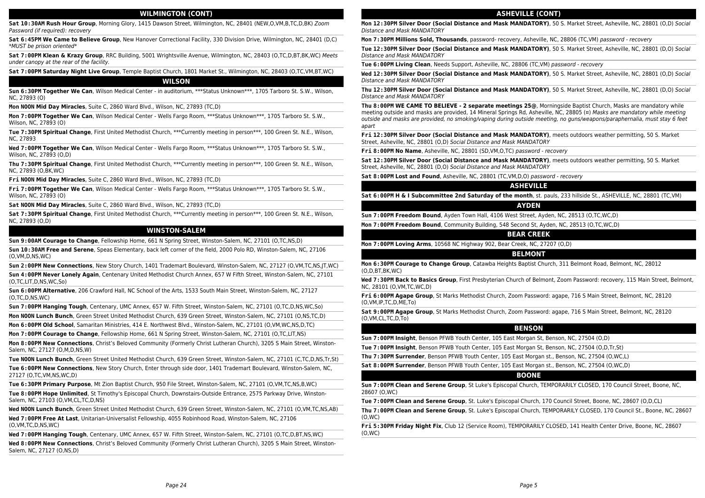#### **WILMINGTON (CONT)**

**Sat 10:30AM Rush Hour Group**, Morning Glory, 1415 Dawson Street, Wilmington, NC, 28401 (NEW,O,VM,B,TC,D,BK) Zoom Password (if required): recovery

**Sat 6:45PM We Came to Believe Group**, New Hanover Correctional Facility, 330 Division Drive, Wilmington, NC, 28401 (D,C) \*MUST be prison oriented\*

**Sat 7:00PM Klean & Krazy Group**, RRC Building, 5001 Wrightsville Avenue, Wilmington, NC, 28403 (O,TC,D,BT,BK,WC) Meets under canopy at the rear of the facility.

**Sat 7:00PM Saturday Night Live Group**, Temple Baptist Church, 1801 Market St., Wilmington, NC, 28403 (O,TC,VM,BT,WC)

**WILSON**

**Sun 6:30PM Together We Can**, Wilson Medical Center - in auditorium, \*\*\*Status Unknown\*\*\*, 1705 Tarboro St. S.W., Wilson, NC, 27893 (O)

**Mon NOON Mid Day Miracles**, Suite C, 2860 Ward Blvd., Wilson, NC, 27893 (TC,D)

**Mon 7:00PM Together We Can**, Wilson Medical Center - Wells Fargo Room, \*\*\*Status Unknown\*\*\*, 1705 Tarboro St. S.W., Wilson, NC, 27893 (O)

**Tue 7:30PM Spiritual Change**, First United Methodist Church, \*\*\*Currently meeting in person\*\*\*, 100 Green St. N.E., Wilson, NC, 27893

**Wed 7:00PM Together We Can**, Wilson Medical Center - Wells Fargo Room, \*\*\*Status Unknown\*\*\*, 1705 Tarboro St. S.W., Wilson, NC, 27893 (O,D)

**Thu 7:30PM Spiritual Change**, First United Methodist Church, \*\*\*Currently meeting in person\*\*\*, 100 Green St. N.E., Wilson, NC, 27893 (O,BK,WC)

**Fri NOON Mid Day Miracles**, Suite C, 2860 Ward Blvd., Wilson, NC, 27893 (TC,D)

**Fri 7:00PM Together We Can**, Wilson Medical Center - Wells Fargo Room, \*\*\*Status Unknown\*\*\*, 1705 Tarboro St. S.W., Wilson, NC, 27893 (O)

**Sat NOON Mid Day Miracles**, Suite C, 2860 Ward Blvd., Wilson, NC, 27893 (TC,D)

**Sat 7:30PM Spiritual Change**, First United Methodist Church, \*\*\*Currently meeting in person\*\*\*, 100 Green St. N.E., Wilson, NC, 27893 (O,D)

# **WINSTON-SALEM**

**Sun 9:00AM Courage to Change**, Fellowship Home, 661 N Spring Street, Winston-Salem, NC, 27101 (O,TC,NS,D)

**Sun 10:30AM Free and Serene**, Speas Elementary, back left corner of the field, 2000 Polo RD, Winston-Salem, NC, 27106 (O,VM,D,NS,WC)

**Sun 2:00PM New Connections**, New Story Church, 1401 Trademart Boulevard, Winston-Salem, NC, 27127 (O,VM,TC,NS,JT,WC)

**Sun 4:00PM Never Lonely Again**, Centenary United Methodist Church Annex, 657 W Fifth Street, Winston-Salem, NC, 27101 (O,TC,LIT,D,NS,WC,So)

**Sun 6:00PM Alternative**, 206 Crawford Hall, NC School of the Arts, 1533 South Main Street, Winston-Salem, NC, 27127 (O,TC,D,NS,WC)

**Sun 7:00PM Hanging Tough**, Centenary, UMC Annex, 657 W. Fifth Street, Winston-Salem, NC, 27101 (O,TC,D,NS,WC,So)

**Mon NOON Lunch Bunch**, Green Street United Methodist Church, 639 Green Street, Winston-Salem, NC, 27101 (O,NS,TC,D)

**Mon 6:00PM Old School**, Samaritan Ministries, 414 E. Northwest Blvd., Winston-Salem, NC, 27101 (O,VM,WC,NS,D,TC)

**Mon 7:00PM Courage to Change**, Fellowship Home, 661 N Spring Street, Winston-Salem, NC, 27101 (O,TC,LIT,NS)

**Mon 8:00PM New Connections**, Christ's Beloved Community (Formerly Christ Lutheran Church), 3205 S Main Street, Winston-Salem, NC, 27127 (O,M,D,NS,W)

**Tue NOON Lunch Bunch**, Green Street United Methodist Church, 639 Green Street, Winston-Salem, NC, 27101 (C,TC,D,NS,Tr,St)

**Tue 6:00PM New Connections**, New Story Church, Enter through side door, 1401 Trademart Boulevard, Winston-Salem, NC, 27127 (O,TC,VM,NS,WC,D)

**Tue 6:30PM Primary Purpose**, Mt Zion Baptist Church, 950 File Street, Winston-Salem, NC, 27101 (O,VM,TC,NS,B,WC)

**Tue 8:00PM Hope Unlimited**, St Timothy's Episcopal Church, Downstairs-Outside Entrance, 2575 Parkway Drive, Winston-Salem, NC, 27103 (O,VM,CL,TC,D,NS)

**Wed NOON Lunch Bunch**, Green Street United Methodist Church, 639 Green Street, Winston-Salem, NC, 27101 (O,VM,TC,NS,AB)

**Wed 7:00PM Free At Last**, Unitarian-Universalist Fellowship, 4055 Robinhood Road, Winston-Salem, NC, 27106 (O,VM,TC,D,NS,WC)

**Wed 7:00PM Hanging Tough**, Centenary, UMC Annex, 657 W. Fifth Street, Winston-Salem, NC, 27101 (O,TC,D,BT,NS,WC)

**Wed 8:00PM New Connections**, Christ's Beloved Community (Formerly Christ Lutheran Church), 3205 S Main Street, Winston-Salem, NC, 27127 (O,NS,D)

#### **ASHEVILLE (CONT)**

**Mon 12:30PM Silver Door (Social Distance and Mask MANDATORY)**, 50 S. Market Street, Asheville, NC, 28801 (O,D) Social Distance and Mask MANDATORY

**Mon 7:30PM Millions Sold, Thousands**, password- recovery, Asheville, NC, 28806 (TC,VM) password - recovery

**Tue 12:30PM Silver Door (Social Distance and Mask MANDATORY)**, 50 S. Market Street, Asheville, NC, 28801 (D,O) Social Distance and Mask MANDATORY

**Tue 6:00PM Living Clean**, Needs Support, Asheville, NC, 28806 (TC,VM) password - recovery

**Wed 12:30PM Silver Door (Social Distance and Mask MANDATORY)**, 50 S. Market Street, Asheville, NC, 28801 (O,D) Social Distance and Mask MANDATORY

**Thu 12:30PM Silver Door (Social Distance and Mask MANDATORY)**, 50 S. Market Street, Asheville, NC, 28801 (D,O) Social Distance and Mask MANDATORY

**Thu 8:00PM WE CAME TO BELIEVE - 2 separate meetings 25@**, Morningside Baptist Church, Masks are mandatory while meeting outside and masks are provided, 14 Mineral Springs Rd, Asheville, NC, 28805 ( $\alpha$ ) Masks are mandatory while meeting outside and masks are provided, no smoking/vaping during outside meeting, no guns/weapons/paraphernalia, must stay 6 feet apart

**Fri 12:30PM Silver Door (Social Distance and Mask MANDATORY)**, meets outdoors weather permitting, 50 S. Market Street, Asheville, NC, 28801 (O,D) Social Distance and Mask MANDATORY

**Fri 8:00PM No Name**, Asheville, NC, 28801 (SD,VM,O,TC) password - recovery

**Sat 12:30PM Silver Door (Social Distance and Mask MANDATORY)**, meets outdoors weather permitting, 50 S. Market Street, Asheville, NC, 28801 (D,O) Social Distance and Mask MANDATORY

**Sat 8:00PM Lost and Found**, Asheville, NC, 28801 (TC,VM,D,O) password - recovery

#### **ASHEVILLE**

**Sat 6:00PM H & I Subcommittee 2nd Saturday of the month**, st. pauls, 233 hillside St., ASHEVILLE, NC, 28801 (TC,VM)

#### **AYDEN**

**Sun 7:00PM Freedom Bound**, Ayden Town Hall, 4106 West Street, Ayden, NC, 28513 (O,TC,WC,D)

**Mon 7:00PM Freedom Bound**, Community Building, 548 Second St, Ayden, NC, 28513 (O,TC,WC,D)

# **BEAR CREEK**

**Mon 7:00PM Loving Arms**, 10568 NC Highway 902, Bear Creek, NC, 27207 (O,D)

# **BELMONT**

**Mon 6:30PM Courage to Change Group**, Catawba Heights Baptist Church, 311 Belmont Road, Belmont, NC, 28012 (O,D,BT,BK,WC)

**Wed 7:30PM Back to Basics Group**, First Presbyterian Church of Belmont, Zoom Password: recovery, 115 Main Street, Belmont, NC, 28101 (O,VM,TC,WC,D)

**Fri 6:00PM Agape Group**, St Marks Methodist Church, Zoom Password: agape, 716 S Main Street, Belmont, NC, 28120 (O,VM,IP,TC,D,ME,To)

**Sat 9:00PM Agape Group**, St Marks Methodist Church, Zoom Password: agape, 716 S Main Street, Belmont, NC, 28120 (O,VM,CL,TC,D,To)

#### **BENSON**

**Sun 7:00PM Insight**, Benson PFWB Youth Center, 105 East Morgan St, Benson, NC, 27504 (O,D)

**Tue 7:00PM Insight**, Benson PFWB Youth Center, 105 East Morgan St, Benson, NC, 27504 (O,D,Tr,St)

**Thu 7:30PM Surrender**, Benson PFWB Youth Center, 105 East Morgan st., Benson, NC, 27504 (O,WC,L)

**Sat 8:00PM Surrender**, Benson PFWB Youth Center, 105 East Morgan st., Benson, NC, 27504 (O,WC,D)

# **BOONE**

**Sun 7:00PM Clean and Serene Group**, St Luke's Episcopal Church, TEMPORARILY CLOSED, 170 Council Street, Boone, NC, 28607 (O,WC)

**Tue 7:00PM Clean and Serene Group**, St. Luke's Episcopal Church, 170 Council Street, Boone, NC, 28607 (O,D,CL)

**Thu 7:00PM Clean and Serene Group**, St. Luke's Episcopal Church, TEMPORARILY CLOSED, 170 Council St., Boone, NC, 28607 (O,WC)

**Fri 5:30PM Friday Night Fix**, Club 12 (Service Room), TEMPORARILY CLOSED, 141 Health Center Drive, Boone, NC, 28607 (O,WC)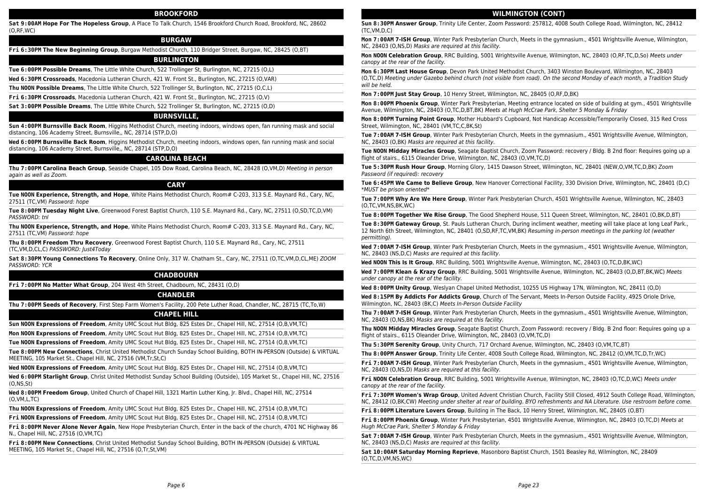#### **BROOKFORD**

**Sat 9:00AM Hope For The Hopeless Group**, A Place To Talk Church, 1546 Brookford Church Road, Brookford, NC, 28602 (O,RF,WC)

#### **BURGAW**

**Fri 6:30PM The New Beginning Group**, Burgaw Methodist Church, 110 Bridger Street, Burgaw, NC, 28425 (O,BT)

#### **BURLINGTON**

**Tue 6:00PM Possible Dreams**, The Little White Church, 522 Trollinger St, Burlington, NC, 27215 (O,L)

**Wed 6:30PM Crossroads**, Macedonia Lutheran Church, 421 W. Front St., Burlington, NC, 27215 (O,VAR)

**Thu NOON Possible Dreams**, The Little White Church, 522 Trollinger St, Burlington, NC, 27215 (O,C,L)

**Fri 6:30PM Crossroads**, Macedonia Lutheran Church, 421 W. Front St., Burlington, NC, 27215 (O,V)

**Sat 3:00PM Possible Dreams**, The Little White Church, 522 Trollinger St, Burlington, NC, 27215 (O,D)

#### **BURNSVILLE,**

**Sun 4:00PM Burnsville Back Room**, Higgins Methodist Church, meeting indoors, windows open, fan running mask and social distancing, 106 Academy Street, Burnsville,, NC, 28714 (STP,D,O)

**Wed 6:00PM Burnsville Back Room**, Higgins Methodist Church, meeting indoors, windows open, fan running mask and social distancing, 106 Academy Street, Burnsville,, NC, 28714 (STP,D,O)

#### **CAROLINA BEACH**

**Thu 7:00PM Carolina Beach Group**, Seaside Chapel, 105 Dow Road, Carolina Beach, NC, 28428 (O,VM,D) Meeting in person again as well as Zoom.

# **CARY**

**Tue NOON Experience, Strength, and Hope**, White Plains Methodist Church, Room# C-203, 313 S.E. Maynard Rd., Cary, NC, 27511 (TC,VM) Password: hope

**Tue 8:00PM Tuesday Night Live**, Greenwood Forest Baptist Church, 110 S.E. Maynard Rd., Cary, NC, 27511 (O,SD,TC,D,VM) PASSWORD: tnl

**Thu NOON Experience, Strength, and Hope**, White Plains Methodist Church, Room# C-203, 313 S.E. Maynard Rd., Cary, NC, 27511 (TC,VM) Password: hope

**Thu 8:00PM Freedom Thru Recovery**, Greenwood Forest Baptist Church, 110 S.E. Maynard Rd., Cary, NC, 27511 (TC,VM,D,CL,C) PASSWORD: Just4Today

**Sat 8:30PM Young Connections To Recovery**, Online Only, 317 W. Chatham St., Cary, NC, 27511 (O,TC,VM,D,CL,ME) ZOOM PASSWORD: YCR

#### **CHADBOURN**

**Fri 7:00PM No Matter What Group**, 204 West 4th Street, Chadbourn, NC, 28431 (O,D)

#### **CHANDLER**

**Thu 7:00PM Seeds of Recovery**, First Step Farm Women's Facility, 200 Pete Luther Road, Chandler, NC, 28715 (TC,To,W)

#### **CHAPEL HILL**

**Sun NOON Expressions of Freedom**, Amity UMC Scout Hut Bldg, 825 Estes Dr., Chapel Hill, NC, 27514 (O,B,VM,TC)

**Mon NOON Expressions of Freedom**, Amity UMC Scout Hut Bldg, 825 Estes Dr., Chapel Hill, NC, 27514 (O,B,VM,TC)

**Tue NOON Expressions of Freedom**, Amity UMC Scout Hut Bldg, 825 Estes Dr., Chapel Hill, NC, 27514 (O,B,VM,TC)

**Tue 8:00PM New Connections**, Christ United Methodist Church Sunday School Building, BOTH IN-PERSON (Outside) & VIRTUAL MEETING, 105 Market St., Chapel Hill, NC, 27516 (VM,Tr,St,C)

**Wed NOON Expressions of Freedom**, Amity UMC Scout Hut Bldg, 825 Estes Dr., Chapel Hill, NC, 27514 (O,B,VM,TC)

**Wed 6:00PM Starlight Group**, Christ United Methodist Sunday School Building (Outside), 105 Market St., Chapel Hill, NC, 27516 (O,NS,St)

**Wed 8:00PM Freedom Group**, United Church of Chapel Hill, 1321 Martin Luther King, Jr. Blvd., Chapel Hill, NC, 27514 (O,VM,L,TC)

**Thu NOON Expressions of Freedom**, Amity UMC Scout Hut Bldg, 825 Estes Dr., Chapel Hill, NC, 27514 (O,B,VM,TC)

**Fri NOON Expressions of Freedom**, Amity UMC Scout Hut Bldg, 825 Estes Dr., Chapel Hill, NC, 27514 (O,B,VM,TC)

**Fri 8:00PM Never Alone Never Again**, New Hope Presbyterian Church, Enter in the back of the church, 4701 NC Highway 86 N., Chapel Hill, NC, 27516 (O,VM,TC)

**Fri 8:00PM New Connections**, Christ United Methodist Sunday School Building, BOTH IN-PERSON (Outside) & VIRTUAL MEETING, 105 Market St., Chapel Hill, NC, 27516 (O,Tr,St,VM)

#### **WILMINGTON (CONT)**

**Sun 8:30PM Answer Group**, Trinity Life Center, Zoom Password: 257812, 4008 South College Road, Wilmington, NC, 28412 (TC,VM,D,C)

**Mon 7:00AM 7-ISH Group**, Winter Park Presbyterian Church, Meets in the gymnasium., 4501 Wrightsville Avenue, Wilmington, NC, 28403 (O,NS,D) Masks are required at this facility.

**Mon NOON Celebration Group**, RRC Building, 5001 Wrightsville Avenue, Wilmington, NC, 28403 (O,RF,TC,D,So) Meets under canopy at the rear of the facility.

**Mon 6:30PM Last House Group**, Devon Park United Methodist Church, 3403 Winston Boulevard, Wilmington, NC, 28403 (O,TC,D) Meeting under Gazebo behind church (not visible from road). On the second Monday of each month, a Tradition Study will be held.

**Mon 7:00PM Just Stay Group**, 10 Henry Street, Wilmington, NC, 28405 (O,RF,D,BK)

**Mon 8:00PM Phoenix Group**, Winter Park Presbyterian, Meeting entrance located on side of building at gym., 4501 Wrightsville Avenue, Wilmington, NC, 28403 (O,TC,D,BT,BK) Meets at Hugh McCrae Park, Shelter 5 Monday & Friday

**Mon 8:00PM Turning Point Group**, Mother Hubbard's Cupboard, Not Handicap Accessible/Temporarily Closed, 315 Red Cross Street, Wilmington, NC, 28401 (VM,TC,C,BK,St)

**Tue 7:00AM 7-ISH Group**, Winter Park Presbyterian Church, Meets in the gymnasium., 4501 Wrightsville Avenue, Wilmington, NC, 28403 (O,BK) Masks are required at this facility.

**Tue NOON Midday Miracles Group**, Seagate Baptist Church, Zoom Password: recovery / Bldg. B 2nd floor: Requires going up a flight of stairs., 6115 Oleander Drive, Wilmington, NC, 28403 (O,VM,TC,D)

**Tue 5:30PM Rush Hour Group**, Morning Glory, 1415 Dawson Street, Wilmington, NC, 28401 (NEW,O,VM,TC,D,BK) Zoom Password (if required): recovery

**Tue 6:45PM We Came to Believe Group**, New Hanover Correctional Facility, 330 Division Drive, Wilmington, NC, 28401 (D,C) \*MUST be prison oriented\*

**Tue 7:00PM Why Are We Here Group**, Winter Park Presbyterian Church, 4501 Wrightsville Avenue, Wilmington, NC, 28403 (O,TC,VM,NS,BK,WC)

**Tue 8:00PM Together We Rise Group**, The Good Shepherd House, 511 Queen Street, Wilmington, NC, 28401 (O,BK,D,BT)

**Tue 8:30PM Gateway Group**, St. Pauls Lutheran Church, During incliment weather, meeting will take place at long Leaf Park., 12 North 6th Street, Wilmington, NC, 28401 (O,SD,RF,TC,VM,BK) Resuming in-person meetings in the parking lot (weather permitting).

**Wed 7:00AM 7-ISH Group**, Winter Park Presbyterian Church, Meets in the gymnasium., 4501 Wrightsville Avenue, Wilmington, NC, 28403 (NS,D,C) Masks are required at this facility.

**Wed NOON This Is It Group**, RRC Building, 5001 Wrightsville Avenue, Wilmington, NC, 28403 (O,TC,D,BK,WC)

**Wed 7:00PM Klean & Krazy Group**, RRC Building, 5001 Wrightsville Avenue, Wilmington, NC, 28403 (O,D,BT,BK,WC) Meets under canopy at the rear of the facility.

**Wed 8:00PM Unity Group**, Weslyan Chapel United Methodist, 10255 US Highway 17N, Wilmington, NC, 28411 (O,D)

**Wed 8:15PM By Addicts For Addicts Group**, Church of The Servant, Meets In-Person Outside Facility, 4925 Oriole Drive, Wilmington, NC, 28403 (BK,C) Meets In-Person Outside Facility

**Thu 7:00AM 7-ISH Group**, Winter Park Presbyterian Church, Meets in the gymnasium., 4501 Wrightsville Avenue, Wilmington, NC, 28403 (O,NS,BK) Masks are required at this facility.

**Thu NOON Midday Miracles Group**, Seagate Baptist Church, Zoom Password: recovery / Bldg. B 2nd floor: Requires going up a flight of stairs., 6115 Oleander Drive, Wilmington, NC, 28403 (O,VM,TC,D)

**Thu 5:30PM Serenity Group**, Unity Church, 717 Orchard Avenue, Wilmington, NC, 28403 (O,VM,TC,BT)

**Thu 8:00PM Answer Group**, Trinity Life Center, 4008 South College Road, Wilmington, NC, 28412 (O,VM,TC,D,Tr,WC)

**Fri 7:00AM 7-ISH Group**, Winter Park Presbyterian Church, Meets in the gymnasium., 4501 Wrightsville Avenue, Wilmington, NC, 28403 (O,NS,D) Masks are required at this facility.

**Fri NOON Celebration Group**, RRC Building, 5001 Wrightsville Avenue, Wilmington, NC, 28403 (O,TC,D,WC) Meets under canopy at the rear of the facility.

**Fri 7:30PM Women's Wrap Group**, United Advent Christian Church, Facility Still Closed, 4912 South College Road, Wilmington, NC, 28412 (O,BK,CW) Meeting under shelter at rear of building. BYO refreshments and NA Literature. Use restroom before come.

**Fri 8:00PM Literature Lovers Group**, Building in The Back, 10 Henry Street, Wilmington, NC, 28405 (O,BT)

**Fri 8:00PM Phoenix Group**, Winter Park Presbyterian, 4501 Wrightsville Avenue, Wilmington, NC, 28403 (O,TC,D) Meets at Hugh McCrae Park, Shelter 5 Monday & Friday

**Sat 7:00AM 7-ISH Group**, Winter Park Presbyterian Church, Meets in the gymnasium., 4501 Wrightsville Avenue, Wilmington, NC, 28403 (NS,D,C) Masks are required at this facility.

**Sat 10:00AM Saturday Morning Reprieve**, Masonboro Baptist Church, 1501 Beasley Rd, Wilmington, NC, 28409 (O,TC,D,VM,NS,WC)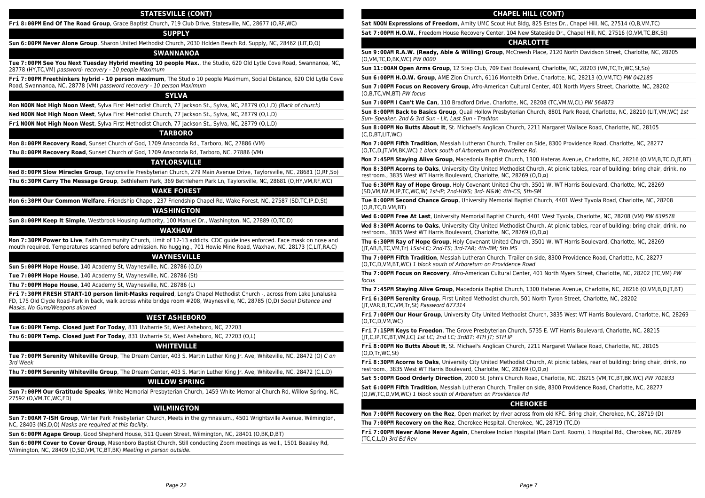#### **STATESVILLE (CONT)**

**Fri 8:00PM End Of The Road Group**, Grace Baptist Church, 719 Club Drive, Statesville, NC, 28677 (O,RF,WC)

#### **SUPPLY**

**Sun 6:00PM Never Alone Group**, Sharon United Methodist Church, 2030 Holden Beach Rd, Supply, NC, 28462 (LIT,D,O)

# **SWANNANOA**

**Tue 7:00PM See You Next Tuesday Hybrid meeting 10 people Max.**, the Studio, 620 Old Lytle Cove Road, Swannanoa, NC, 28778 (HY,TC,VM) password- recovery - 10 people Maximum

**Fri 7:00PM Freethinkers hybrid - 10 person maximum**, The Studio 10 people Maximum, Social Distance, 620 Old Lytle Cove Road, Swannanoa, NC, 28778 (VM) password recovery - 10 person Maximum

#### **SYLVA**

**Mon NOON Not High Noon West**, Sylva First Methodist Church, 77 Jackson St., Sylva, NC, 28779 (O,L,D) (Back of church)

**Wed NOON Not High Noon West**, Sylva First Methodist Church, 77 Jackson St., Sylva, NC, 28779 (O,L,D)

**Fri NOON Not High Noon West**, Sylva First Methodist Church, 77 Jackson St., Sylva, NC, 28779 (O,L,D)

#### **TARBORO**

**Mon 8:00PM Recovery Road**, Sunset Church of God, 1709 Anaconda Rd., Tarboro, NC, 27886 (VM) **Thu 8:00PM Recovery Road**, Sunset Church of God, 1709 Anaconda Rd, Tarboro, NC, 27886 (VM)

**TAYLORSVILLE**

**Wed 8:00PM Slow Miracles Group**, Taylorsville Presbyterian Church, 279 Main Avenue Drive, Taylorsville, NC, 28681 (O,RF,So)

**Thu 6:30PM Carry The Message Group**, Bethlehem Park, 369 Bethlehem Park Ln, Taylorsville, NC, 28681 (O,HY,VM,RF,WC)

#### **WAKE FOREST**

**Mon 6:30PM Our Common Welfare**, Friendship Chapel, 237 Friendship Chapel Rd, Wake Forest, NC, 27587 (SD,TC,IP,D,St)

## **WASHINGTON**

**Sun 8:00PM Keep It Simple**, Westbrook Housing Authority, 100 Manuel Dr., Washington, NC, 27889 (O,TC,D)

#### **WAXHAW**

**Mon 7:30PM Power to Live**, Faith Community Church, Limit of 12-13 addicts. CDC guidelines enforced. Face mask on nose and mouth required. Temperatures scanned before admission. No hugging., 701 Howie Mine Road, Waxhaw, NC, 28173 (C,LIT,RA,C)

# **WAYNESVILLE**

**Sun 5:00PM Hope House**, 140 Academy St, Waynesville, NC, 28786 (O,D)

**Tue 7:00PM Hope House**, 140 Academy St, Waynesville, NC, 28786 (St)

**Thu 7:00PM Hope House**, 140 Academy St, Waynesville, NC, 28786 (L)

**Fri 7:30PM FRESH START-10 person limit-Masks required**, Long's Chapel Methodist Church -, across from Lake Junaluska FD, 175 Old Clyde Road-Park in back, walk across white bridge room #208, Waynesville, NC, 28785 (O,D) Social Distance and Masks, No Guns/Weapons allowed

#### **WEST ASHEBORO**

**Tue 6:00PM Temp. Closed Just For Today**, 831 Uwharrie St, West Asheboro, NC, 27203

**Thu 6:00PM Temp. Closed Just For Today**, 831 Uwharrie St, West Asheboro, NC, 27203 (O,L)

#### **WHITEVILLE**

**Tue 7:00PM Serenity Whiteville Group**, The Dream Center, 403 S. Martin Luther King Jr. Ave, Whiteville, NC, 28472 (O) C on 3rd Week

**Thu 7:00PM Serenity Whiteville Group**, The Dream Center, 403 S. Martin Luther King Jr. Ave, Whiteville, NC, 28472 (C,L,D)

## **WILLOW SPRING**

**Sun 7:00PM Our Gratitude Speaks**, White Memorial Presbyterian Church, 1459 White Memorial Church Rd, Willow Spring, NC, 27592 (O,VM,TC,WC,FD)

## **WILMINGTON**

**Sun 7:00AM 7-ISH Group**, Winter Park Presbyterian Church, Meets in the gymnasium., 4501 Wrightsville Avenue, Wilmington, NC, 28403 (NS,D,O) Masks are required at this facility.

**Sun 6:00PM Agape Group**, Good Shepherd House, 511 Queen Street, Wilmington, NC, 28401 (O,BK,D,BT)

**Sun 6:00PM Cover to Cover Group**, Masonboro Baptist Church, Still conducting Zoom meetings as well., 1501 Beasley Rd, Wilmington, NC, 28409 (O,SD,VM,TC,BT,BK) Meeting in person outside.

#### **CHAPEL HILL (CONT)**

**Sat NOON Expressions of Freedom**, Amity UMC Scout Hut Bldg, 825 Estes Dr., Chapel Hill, NC, 27514 (O,B,VM,TC)

**Sat 7:00PM H.O.W.**, Freedom House Recovery Center, 104 New Stateside Dr., Chapel Hill, NC, 27516 (O,VM,TC,BK,St)

#### **CHARLOTTE**

**Sun 9:00AM R.A.W. (Ready, Able & Willing) Group**, McCreesh Place, 2120 North Davidson Street, Charlotte, NC, 28205 (O,VM,TC,D,BK,WC) PW 0000

**Sun 11:00AM Open Arms Group**, 12 Step Club, 709 East Boulevard, Charlotte, NC, 28203 (VM,TC,Tr,WC,St,So)

**Sun 6:00PM H.O.W. Group**, AME Zion Church, 6116 Monteith Drive, Charlotte, NC, 28213 (O,VM,TC) PW 042185

**Sun 7:00PM Focus on Recovery Group**, Afro-American Cultural Center, 401 North Myers Street, Charlotte, NC, 28202 (O,B,TC,VM,BT) PW focus

**Sun 7:00PM I Can't We Can**, 110 Bradford Drive, Charlotte, NC, 28208 (TC,VM,W,CL) PW 564873

**Sun 8:00PM Back to Basics Group**, Quail Hollow Presbyterian Church, 8801 Park Road, Charlotte, NC, 28210 (LIT,VM,WC) 1st Sun- Speaker, 2nd & 3rd Sun - Lit, Last Sun - Traditon

**Sun 8:00PM No Butts About It**, St. Michael's Anglican Church, 2211 Margaret Wallace Road, Charlotte, NC, 28105 (C,D,BT,LIT,WC)

**Mon 7:00PM Fifth Tradition**, Messiah Lutheran Church, Trailer on Side, 8300 Providence Road, Charlotte, NC, 28277 (O,TC,D,JT,VM,BK,WC) 1 block south of Arboretum on Providence Rd.

**Mon 7:45PM Staying Alive Group**, Macedonia Baptist Church, 1300 Hateras Avenue, Charlotte, NC, 28216 (O,VM,B,TC,D,JT,BT)

**Mon 8:30PM Acorns to Oaks**, University City United Methodist Church, At picnic tables, rear of building; bring chair, drink, no restroom., 3835 West WT Harris Boulevard, Charlotte, NC, 28269 (O,D,¤)

**Tue 6:30PM Ray of Hope Group**, Holy Covenant United Church, 3501 W. WT Harris Boulevard, Charlotte, NC, 28269 (SD,VM,IW,M,IP,TC,WC,W) 1st-IP; 2nd-HWS; 3rd- M&W; 4th-CS; 5th-SM

**Tue 8:00PM Second Chance Group**, University Memorial Baptist Church, 4401 West Tyvola Road, Charlotte, NC, 28208 (O,B,TC,D,VM,BT)

**Wed 6:00PM Free At Last**, University Memorial Baptist Church, 4401 West Tyvola, Charlotte, NC, 28208 (VM) PW 639578

**Wed 8:30PM Acorns to Oaks**, University City United Methodist Church, At picnic tables, rear of building; bring chair, drink, no restroom., 3835 West WT Harris Boulevard, Charlotte, NC, 28269 (O,D,¤)

**Thu 6:30PM Ray of Hope Group**, Holy Covenant United Church, 3501 W. WT Harris Boulevard, Charlotte, NC, 28269 (JT,AB,B,TC,VM,Tr) 1Sst-LC; 2nd-TS; 3rd-TAR; 4th-BM; 5th MS

**Thu 7:00PM Fifth Tradition**, Messiah Lutheran Church, Trailer on side, 8300 Providence Road, Charlotte, NC, 28277 (O,TC,D,VM,BT,WC) 1 block south of Arboretum on Providence Road

**Thu 7:00PM Focus on Recovery**, Afro-American Cultural Center, 401 North Myers Street, Charlotte, NC, 28202 (TC,VM) PW focus

**Thu 7:45PM Staying Alive Group**, Macedonia Baptist Church, 1300 Hateras Avenue, Charlotte, NC, 28216 (O,VM,B,D,JT,BT)

**Fri 6:30PM Serenity Group**, First United Methodist church, 501 North Tyron Street, Charlotte, NC, 28202 (JT,VAR,B,TC,VM,Tr,St) Password 677314

**Fri 7:00PM Our Hour Group**, University City United Methodist Church, 3835 West WT Harris Boulevard, Charlotte, NC, 28269 (O,TC,D,VM,WC)

**Fri 7:15PM Keys to Freedon**, The Grove Presbyterian Church, 5735 E. WT Harris Boulevard, Charlotte, NC, 28215 (JT,C,IP,TC,BT,VM,LC) 1st LC; 2nd LC; 3rdBT; 4TH JT; 5TH IP

**Fri 8:00PM No Butts About It**, St. Michael's Anglican Church, 2211 Margaret Wallace Road, Charlotte, NC, 28105 (O,D,Tr,WC,St)

**Fri 8:30PM Acorns to Oaks**, University City United Methodist Church, At picnic tables, rear of building; bring chair, drink, no restroom., 3835 West WT Harris Boulevard, Charlotte, NC, 28269 (O,D,¤)

**Sat 5:00PM Good Orderly Direction**, 2000 St. John's Church Road, Charlotte, NC, 28215 (VM,TC,BT,BK,WC) PW 701833

**Sat 6:00PM Fifth Tradition**, Messiah Lutheran Church, Trailer on side, 8300 Providence Road, Charlotte, NC, 28277 (O,IW,TC,D,VM,WC) 1 block south of Arboretum on Providence Rd

#### **CHEROKEE**

**Mon 7:00PM Recovery on the Rez**, Open market by river across from old KFC. Bring chair, Cherokee, NC, 28719 (D)

**Thu 7:00PM Recovery on the Rez**, Cherokee Hospital, Cherokee, NC, 28719 (TC,D)

**Fri 7:00PM Never Alone Never Again**, Cherokee Indian Hospital (Main Conf. Room), 1 Hospital Rd., Cherokee, NC, 28789 (TC,C,L,D) 3rd Ed Rev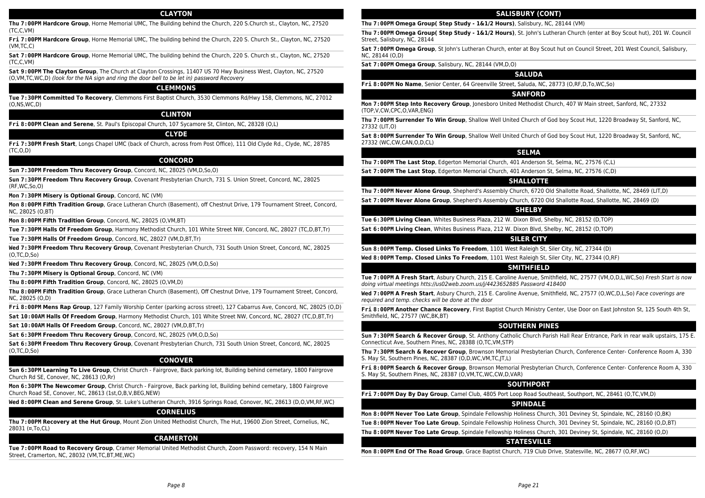#### **CLAYTON**

**Thu 7:00PM Hardcore Group**, Horne Memorial UMC, The Building behind the Church, 220 S.Church st., Clayton, NC, 27520 (TC,C,VM)

**Fri 7:00PM Hardcore Group**, Horne Memorial UMC, The building behind the Church, 220 S. Church St., Clayton, NC, 27520 (VM,TC,C)

**Sat 7:00PM Hardcore Group**, Horne Memorial UMC, The building behind the Church, 220 S. Church st., Clayton, NC, 27520 (TC,C,VM)

**Sat 9:00PM The Clayton Group**, The Church at Clayton Crossings, 11407 US 70 Hwy Business West, Clayton, NC, 27520 (O,VM,TC,WC,D) (look for the NA sign and ring the door bell to be let in) password Recovery

#### **CLEMMONS**

**Tue 7:30PM Committed To Recovery**, Clemmons First Baptist Church, 3530 Clemmons Rd/Hwy 158, Clemmons, NC, 27012 (O,NS,WC,D)

# **CLINTON**

**Fri 8:00PM Clean and Serene**, St. Paul's Episcopal Church, 107 Sycamore St, Clinton, NC, 28328 (O,L)

#### **CLYDE**

**Fri 7:30PM Fresh Start**, Longs Chapel UMC (back of Church, across from Post Office), 111 Old Clyde Rd., Clyde, NC, 28785 (TC,O,D)

#### **CONCORD**

**Sun 7:30PM Freedom Thru Recovery Group**, Concord, NC, 28025 (VM,D,So,O)

**Sun 7:30PM Freedom Thru Recovery Group**, Covenant Presbyterian Church, 731 S. Union Street, Concord, NC, 28025 (RF,WC,So,O)

**Mon 7:30PM Misery is Optional Group**, Concord, NC (VM)

**Mon 8:00PM Fifth Tradition Group**, Grace Lutheran Church (Basement), off Chestnut Drive, 179 Tournament Street, Concord, NC, 28025 (O,BT)

**Mon 8:00PM Fifth Tradition Group**, Concord, NC, 28025 (O,VM,BT)

**Tue 7:30PM Halls Of Freedom Group**, Harmony Methodist Church, 101 White Street NW, Concord, NC, 28027 (TC,D,BT,Tr)

**Tue 7:30PM Halls Of Freedom Group**, Concord, NC, 28027 (VM,D,BT,Tr)

**Wed 7:30PM Freedom Thru Recovery Group**, Covenant Presbyterian Church, 731 South Union Street, Concord, NC, 28025 (O,TC,D,So)

**Wed 7:30PM Freedom Thru Recovery Group**, Concord, NC, 28025 (VM,O,D,So)

**Thu 7:30PM Misery is Optional Group**, Concord, NC (VM)

**Thu 8:00PM Fifth Tradition Group**, Concord, NC, 28025 (O,VM,D)

**Thu 8:00PM Fifth Tradition Group**, Grace Lutheran Church (Basement), Off Chestnut Drive, 179 Tournament Street, Concord, NC, 28025 (O,D)

**Fri 8:00PM Mens Rap Group**, 127 Family Worship Center (parking across street), 127 Cabarrus Ave, Concord, NC, 28025 (O,D)

**Sat 10:00AM Halls Of Freedom Group**, Harmony Methodist Church, 101 White Street NW, Concord, NC, 28027 (TC,D,BT,Tr)

**Sat 10:00AM Halls Of Freedom Group**, Concord, NC, 28027 (VM,D,BT,Tr)

**Sat 6:30PM Freedom Thru Recovery Group**, Concord, NC, 28025 (VM,O,D,So)

**Sat 6:30PM Freedom Thru Recovery Group**, Covenant Presbyterian Church, 731 South Union Street, Concord, NC, 28025 (O,TC,D,So)

#### **CONOVER**

**Sun 6:30PM Learning To Live Group**, Christ Church - Fairgrove, Back parking lot, Building behind cemetary, 1800 Fairgrove Church Rd SE, Conover, NC, 28613 (O,Rr)

**Mon 6:30PM The Newcomer Group**, Christ Church - Fairgrove, Back parking lot, Building behind cemetary, 1800 Fairgrove Church Road SE, Conover, NC, 28613 (1st,O,B,V,BEG,NEW)

**Wed 8:00PM Clean and Serene Group**, St. Luke's Lutheran Church, 3916 Springs Road, Conover, NC, 28613 (D,O,VM,RF,WC)

# **CORNELIUS**

**Thu 7:00PM Recovery at the Hut Group**, Mount Zion United Methodist Church, The Hut, 19600 Zion Street, Cornelius, NC, 28031 (¤,To,CL)

# **CRAMERTON**

**Tue 7:00PM Road to Recovery Group**, Cramer Memorial United Methodist Church, Zoom Password: recovery, 154 N Main Street, Cramerton, NC, 28032 (VM,TC,BT,ME,WC)

# **SALISBURY (CONT)**

**Thu 7:00PM Omega Group( Step Study - 1&1/2 Hours)**, Salisbury, NC, 28144 (VM)

**Thu 7:00PM Omega Group( Step Study - 1&1/2 Hours)**, St. John's Lutheran Church (enter at Boy Scout hut), 201 W. Council Street, Salisbury, NC, 28144

**Sat 7:00PM Omega Group**, St John's Lutheran Church, enter at Boy Scout hut on Council Street, 201 West Council, Salisbury, NC, 28144 (O,D)

#### **Sat 7:00PM Omega Group**, Salisbury, NC, 28144 (VM,D,O)

#### **SALUDA**

**Fri 8:00PM No Name**, Senior Center, 64 Greenville Street, Saluda, NC, 28773 (O,RF,D,To,WC,So)

#### **SANFORD**

**Mon 7:00PM Step Into Recovery Group**, Jonesboro United Methodist Church, 407 W Main street, Sanford, NC, 27332 (TOP,V,CW,CPC,O,VAR,ENG)

**Thu 7:00PM Surrender To Win Group**, Shallow Well United Church of God boy Scout Hut, 1220 Broadway St, Sanford, NC, 27332 (LIT,O)

**Sat 8:00PM Surrender To Win Group**, Shallow Well United Church of God boy Scout Hut, 1220 Broadway St, Sanford, NC, 27332 (WC,CW,CAN,O,D,CL)

#### **SELMA**

**Thu 7:00PM The Last Stop**, Edgerton Memorial Church, 401 Anderson St, Selma, NC, 27576 (C,L)

**Sat 7:00PM The Last Stop**, Edgerton Memorial Church, 401 Anderson St, Selma, NC, 27576 (C,D)

# **SHALLOTTE**

**Thu 7:00PM Never Alone Group**, Shepherd's Assembly Church, 6720 Old Shallotte Road, Shallotte, NC, 28469 (LIT,D)

**Sat 7:00PM Never Alone Group**, Shepherd's Assembly Church, 6720 Old Shallotte Road, Shallotte, NC, 28469 (D)

# **SHELBY**

**Tue 6:30PM Living Clean**, Whites Business Plaza, 212 W. Dixon Blvd, Shelby, NC, 28152 (D,TOP)

**Sat 6:00PM Living Clean**, Whites Business Plaza, 212 W. Dixon Blvd, Shelby, NC, 28152 (D,TOP)

#### **SILER CITY**

**Sun 8:00PM Temp. Closed Links To Freedom**, 1101 West Raleigh St, Siler City, NC, 27344 (D)

**Wed 8:00PM Temp. Closed Links To Freedom**, 1101 West Raleigh St, Siler City, NC, 27344 (O,RF)

#### **SMITHFIELD**

**Tue 7:00PM A Fresh Start**, Asbury Church, 215 E. Caroline Avenue, Smithfield, NC, 27577 (VM,O,D,L,WC,So) Fresh Start is now doing virtual meetings htts://us02web.zoom.us/j/4423652885 Password 418400

**Wed 7:00PM A Fresh Start**, Asbury Church, 215 E. Caroline Avenue, Smithfield, NC, 27577 (O,WC,D,L,So) Face coverings are required and temp. checks will be done at the door

**Fri 8:00PM Another Chance Recovery**, First Baptist Church Ministry Center, Use Door on East Johnston St, 125 South 4th St, Smithfield, NC, 27577 (WC,BK,BT)

#### **SOUTHERN PINES**

**Sun 7:30PM Search & Recover Group**, St. Anthony Catholic Church Parish Hall Rear Entrance, Park in rear walk upstairs, 175 E. Connecticut Ave, Southern Pines, NC, 28388 (O,TC,VM,STP)

**Thu 7:30PM Search & Recover Group**, Brownson Memorial Presbyterian Church, Conference Center- Conference Room A, 330 S. May St, Southern Pines, NC, 28387 (O,D,WC,VM,TC,JT,L)

**Fri 8:00PM Search & Recover Group**, Brownson Memorial Presbyterian Church, Conference Center- Conference Room A, 330 S. May St, Southern Pines, NC, 28387 (O,VM,TC,WC,CW,D,VAR)

#### **SOUTHPORT**

**Fri 7:00PM Day By Day Group**, Camel Club, 4805 Port Loop Road Southeast, Southport, NC, 28461 (O,TC,VM,D)

#### **SPINDALE**

**Mon 8:00PM Never Too Late Group**, Spindale Fellowship Holiness Church, 301 Deviney St, Spindale, NC, 28160 (O,BK)

**Tue 8:00PM Never Too Late Group**, Spindale Fellowship Holiness Church, 301 Deviney St, Spindale, NC, 28160 (O,D,BT) **Thu 8:00PM Never Too Late Group**, Spindale Fellowship Holiness Church, 301 Deviney St, Spindale, NC, 28160 (O,D)

# **STATESVILLE**

**Mon 8:00PM End Of The Road Group**, Grace Baptist Church, 719 Club Drive, Statesville, NC, 28677 (O,RF,WC)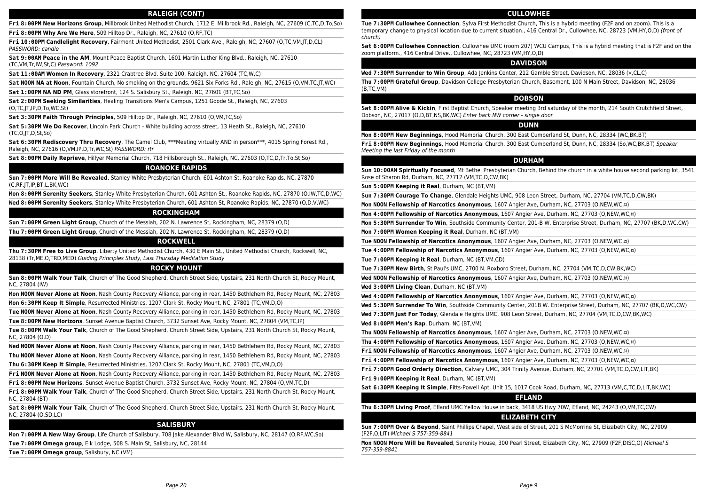#### **RALEIGH (CONT)**

**Fri 8:00PM New Horizons Group**, Millbrook United Methodist Church, 1712 E. Millbrook Rd., Raleigh, NC, 27609 (C,TC,D,To,So)

**Fri 8:00PM Why Are We Here**, 509 Hilltop Dr., Raleigh, NC, 27610 (O,RF,TC)

**Fri 10:00PM Candlelight Recovery**, Fairmont United Methodist, 2501 Clark Ave., Raleigh, NC, 27607 (O,TC,VM,JT,D,CL) PASSWORD: candle

**Sat 9:00AM Peace in the AM**, Mount Peace Baptist Church, 1601 Martin Luther King Blvd., Raleigh, NC, 27610 (TC,VM,Tr,IW,St,C) Password: 1092

**Sat 11:00AM Women In Recovery**, 2321 Crabtree Blvd. Suite 100, Raleigh, NC, 27604 (TC,W,C)

**Sat NOON NA at Noon**, Fountain Church, No smoking on the grounds, 9621 Six Forks Rd., Raleigh, NC, 27615 (O,VM,TC,JT,WC)

**Sat 1:00PM NA ND PM**, Glass storefront, 124 S. Salisbury St., Raleigh, NC, 27601 (BT,TC,So)

**Sat 2:00PM Seeking Similarities**, Healing Transitions Men's Campus, 1251 Goode St., Raleigh, NC, 27603 (O,TC,JT,IP,D,To,WC,St)

**Sat 3:30PM Faith Through Principles**, 509 Hilltop Dr., Raleigh, NC, 27610 (O,VM,TC,So)

**Sat 5:30PM We Do Recover**, Lincoln Park Church - White building across street, 13 Heath St., Raleigh, NC, 27610 (TC,O,JT,D,St,So)

**Sat 6:30PM Rediscovery Thru Recovery**, The Camel Club, \*\*\*Meeting virtually AND in person\*\*\*, 4015 Spring Forest Rd., Raleigh, NC, 27616 (O,VM,IP,D,Tr,WC,St) PASSWORD: rtr

**Sat 8:00PM Daily Reprieve**, Hillyer Memorial Church, 718 Hillsborough St., Raleigh, NC, 27603 (O,TC,D,Tr,To,St,So)

#### **ROANOKE RAPIDS**

**Sun 7:00PM More Will Be Revealed**, Stanley White Presbyterian Church, 601 Ashton St, Roanoke Rapids, NC, 27870 (C,RF,JT,IP,BT,L,BK,WC)

**Mon 8:00PM Serenity Seekers**, Stanley White Presbyterian Church, 601 Ashton St., Roanoke Rapids, NC, 27870 (O,IW,TC,D,WC)

**Wed 8:00PM Serenity Seekers**, Stanley White Presbyterian Church, 601 Ashton St, Roanoke Rapids, NC, 27870 (O,D,V,WC)

# **ROCKINGHAM**

**Sun 7:00PM Green Light Group**, Church of the Messiah, 202 N. Lawrence St, Rockingham, NC, 28379 (O,D)

**Thu 7:00PM Green Light Group**, Church of the Messiah, 202 N. Lawrence St, Rockingham, NC, 28379 (O,D)

#### **ROCKWELL**

**Thu 7:30PM Free to Live Group**, Liberty United Methodist Church, 430 E Main St., United Methodist Church, Rockwell, NC, 28138 (Tr,ME,O,TRD,MED) Guiding Principles Study, Last Thursday Meditation Study

#### **ROCKY MOUNT**

**Sun 8:00PM Walk Your Talk**, Church of The Good Shepherd, Church Street Side, Upstairs, 231 North Church St, Rocky Mount, NC, 27804 (IW)

**Mon NOON Never Alone at Noon**, Nash County Recovery Alliance, parking in rear, 1450 Bethlehem Rd, Rocky Mount, NC, 27803

**Mon 6:30PM Keep It Simple**, Resurrected Ministries, 1207 Clark St, Rocky Mount, NC, 27801 (TC,VM,D,O)

**Tue NOON Never Alone at Noon**, Nash County Recovery Alliance, parking in rear, 1450 Bethlehem Rd, Rocky Mount, NC, 27803 **Tue 8:00PM New Horizons**, Sunset Avenue Baptist Church, 3732 Sunset Ave, Rocky Mount, NC, 27804 (VM,TC,IP)

**Tue 8:00PM Walk Your Talk**, Church of The Good Shepherd, Church Street Side, Upstairs, 231 North Church St, Rocky Mount, NC, 27804 (O,D)

**Wed NOON Never Alone at Noon**, Nash County Recovery Alliance, parking in rear, 1450 Bethlehem Rd, Rocky Mount, NC, 27803

**Thu NOON Never Alone at Noon**, Nash County Recovery Alliance, parking in rear, 1450 Bethlehem Rd, Rocky Mount, NC, 27803

**Thu 6:30PM Keep It Simple**, Resurrected Ministries, 1207 Clark St, Rocky Mount, NC, 27801 (TC,VM,D,O)

**Fri NOON Never Alone at Noon**, Nash County Recovery Alliance, parking in rear, 1450 Bethlehem Rd, Rocky Mount, NC, 27803

**Fri 8:00PM New Horizons**, Sunset Avenue Baptist Church, 3732 Sunset Ave, Rocky Mount, NC, 27804 (O,VM,TC,D)

**Fri 8:00PM Walk Your Talk**, Church of The Good Shepherd, Church Street Side, Upstairs, 231 North Church St, Rocky Mount, NC, 27804 (BT)

**Sat 8:00PM Walk Your Talk**, Church of The Good Shepherd, Church Street Side, Upstairs, 231 North Church St, Rocky Mount, NC, 27804 (O,SD,LC)

#### **SALISBURY**

**Mon 7:00PM A New Way Group**, Life Church of Salisbury, 708 Jake Alexander Blvd W, Salisbury, NC, 28147 (O,RF,WC,So)

**Tue 7:00PM Omega group**, Elk Lodge, 508 S. Main St, Salisbury, NC, 28144

**Tue 7:00PM Omega group**, Salisbury, NC (VM)

#### **CULLOWHEE**

**Tue 7:30PM Cullowhee Connection**, Sylva First Methodist Church, This is a hybrid meeting (F2F and on zoom). This is a temporary change to physical location due to current situation., 416 Central Dr., Cullowhee, NC, 28723 (VM,HY,O,D) (front of church)

**Sat 6:00PM Cullowhee Connection**, Cullowhee UMC (room 207) WCU Campus, This is a hybrid meeting that is F2F and on the zoom platform., 416 Central Drive., Cullowhee, NC, 28723 (VM,HY,O,D)

## **DAVIDSON**

**Wed 7:30PM Surrender to Win Group**, Ada Jenkins Center, 212 Gamble Street, Davidson, NC, 28036 (¤,CL,C)

**Thu 7:00PM Grateful Group**, Davidson College Presbyterian Church, Basement, 100 N Main Street, Davidson, NC, 28036 (B,TC,VM)

# **DOBSON**

**Sat 8:00PM Alive & Kickin**, First Baptist Church, Speaker meeting 3rd saturday of the month, 214 South Crutchfield Street, Dobson, NC, 27017 (O,D,BT,NS,BK,WC) Enter back NW corner - single door

#### **DUNN**

**Mon 8:00PM New Beginnings**, Hood Memorial Church, 300 East Cumberland St, Dunn, NC, 28334 (WC,BK,BT)

**Fri 8:00PM New Beginnings**, Hood Memorial Church, 300 East Cumberland St, Dunn, NC, 28334 (So,WC,BK,BT) Speaker Meeting the last Friday of the month

#### **DURHAM**

**Sun 10:00AM Spiritually Focused**, Mt Bethel Presbyterian Church, Behind the church in a white house second parking lot, 3541 Rose of Sharon Rd, Durham, NC, 27712 (VM,TC,D,CW,BK)

**Sun 5:00PM Keeping it Real**, Durham, NC (BT,VM)

**Sun 7:30PM Courage To Change**, Glendale Heights UMC, 908 Leon Street, Durham, NC, 27704 (VM,TC,D,CW,BK)

**Mon NOON Fellowship of Narcotics Anonymous**, 1607 Angier Ave, Durham, NC, 27703 (O,NEW,WC,¤)

**Mon 4:00PM Fellowship of Narcotics Anonymous**, 1607 Angier Ave, Durham, NC, 27703 (O,NEW,WC,¤)

**Mon 5:30PM Surrender To Win**, Southside Community Center, 201-B W. Enterprise Street, Durham, NC, 27707 (BK,D,WC,CW)

**Mon 7:00PM Women Keeping it Real**, Durham, NC (BT,VM)

**Tue NOON Fellowship of Narcotics Anonymous**, 1607 Angier Ave, Durham, NC, 27703 (O,NEW,WC,¤)

**Tue 4:00PM Fellowship of Narcotics Anonymous**, 1607 Angier Ave, Durham, NC, 27703 (O,NEW,WC,¤)

**Tue 7:00PM Keeping it Real**, Durham, NC (BT,VM,CD)

**Tue 7:30PM New Birth**, St Paul's UMC, 2700 N. Roxboro Street, Durham, NC, 27704 (VM,TC,D,CW,BK,WC)

**Wed NOON Fellowship of Narcotics Anonymous**, 1607 Angier Ave, Durham, NC, 27703 (O,NEW,WC,¤)

**Wed 3:00PM Living Clean**, Durham, NC (BT,VM)

**Wed 4:00PM Fellowship of Narcotics Anonymous**, 1607 Angier Ave, Durham, NC, 27703 (O,NEW,WC,¤)

**Wed 5:30PM Surrender To Win**, Southside Community Center, 201B W. Enterprise Street, Durham, NC, 27707 (BK,D,WC,CW)

**Wed 7:30PM Just For Today**, Glendale Heights UMC, 908 Leon Street, Durham, NC, 27704 (VM,TC,D,CW,BK,WC)

**Wed 8:00PM Men's Rap**, Durham, NC (BT,VM)

**Thu NOON Fellowship of Narcotics Anonymous**, 1607 Angier Ave, Durham, NC, 27703 (O,NEW,WC,¤)

**Thu 4:00PM Fellowship of Narcotics Anonymous**, 1607 Angier Ave, Durham, NC, 27703 (O,NEW,WC,¤)

**Fri NOON Fellowship of Narcotics Anonymous**, 1607 Angier Ave, Durham, NC, 27703 (O,NEW,WC,¤)

**Fri 4:00PM Fellowship of Narcotics Anonymous**, 1607 Angier Ave, Durham, NC, 27703 (O,NEW,WC,¤)

**Fri 7:00PM Good Orderly Direction**, Calvary UMC, 304 Trinity Avenue, Durham, NC, 27701 (VM,TC,D,CW,LIT,BK)

**Fri 9:00PM Keeping it Real**, Durham, NC (BT,VM)

**Sat 6:30PM Keeping It Simple**, Fitts-Powell Apt, Unit 15, 1017 Cook Road, Durham, NC, 27713 (VM,C,TC,D,LIT,BK,WC)

#### **EFLAND**

**Thu 6:30PM Living Proof**, Efland UMC Yellow House in back, 3418 US Hwy 70W, Efland, NC, 24243 (O,VM,TC,CW)

# **ELIZABETH CITY**

**Sun 7:00PM Over & Beyond**, Saint Phillips Chapel, West side of Street, 201 S McMorrine St, Elizabeth City, NC, 27909 (F2F,O,LIT) Michael S 757-359-8841

**Mon NOON More Will be Revealed**, Serenity House, 300 Pearl Street, Elizabeth City, NC, 27909 (F2F,DISC,O) Michael S 757-359-8841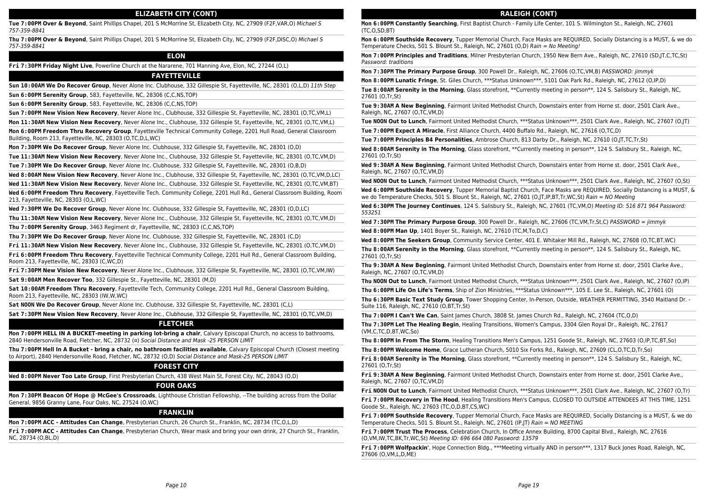# **ELIZABETH CITY (CONT)**

**Tue 7:00PM Over & Beyond**, Saint Phillips Chapel, 201 S McMorrine St, Elizabeth City, NC, 27909 (F2F,VAR,O) Michael S 757-359-8841

**Thu 7:00PM Over & Beyond**, Saint Phillips Chapel, 201 S McMorrine St, Elizabeth City, NC, 27909 (F2F,DISC,O) Michael S 757-359-8841

# **ELON**

**Fri 7:30PM Friday Night Live**, Powerline Church at the Nararene, 701 Manning Ave, Elon, NC, 27244 (O,L)

#### **FAYETTEVILLE**

**Sun 10:00AM We Do Recover Group**, Never Alone Inc. Clubhouse, 332 Gillespie St, Fayetteville, NC, 28301 (O,L,D) 11th Step

**Sun 6:00PM Serenity Group**, 583, Fayetteville, NC, 28306 (C,C,NS,TOP)

**Sun 6:00PM Serenity Group**, 583, Fayetteville, NC, 28306 (C,C,NS,TOP)

**Sun 7:00PM New Vision New Recovery**, Never Alone Inc., Clubhouse, 332 Gillespie St, Fayetteville, NC, 28301 (O,TC,VM,L)

**Mon 11:30AM New Vision New Recovery**, Never Alone Inc., Clubhouse, 332 Gillespie St, Fayetteville, NC, 28301 (O,TC,VM,L)

**Mon 6:00PM Freedom Thru Recovery Group**, Fayetteville Technical Community College, 2201 Hull Road, General Classroom Building, Room 213, Fayetteville, NC, 28303 (O,TC,D,L,WC)

**Mon 7:30PM We Do Recover Group**, Never Alone Inc. Clubhouse, 332 Gillespie St, Fayetteville, NC, 28301 (O,D)

**Tue 11:30AM New Vision New Recovery**, Never Alone Inc., Clubhouse, 332 Gillespie St, Fayetteville, NC, 28301 (O,TC,VM,D)

**Tue 7:30PM We Do Recover Group**, Never Alone Inc. Clubhouse, 332 Gillespie St, Fayetteville, NC, 28301 (O,B,D)

**Wed 8:00AM New Vision New Recovery**, Never Alone Inc., Clubhouse, 332 Gillespie St, Fayetteville, NC, 28301 (O,TC,VM,D,LC)

**Wed 11:30AM New Vision New Recovery**, Never Alone Inc., Clubhouse, 332 Gillespie St, Fayetteville, NC, 28301 (O,TC,VM,BT)

**Wed 6:00PM Freedom Thru Recovery**, Fayetteville Tech. Community College, 2201 Hull Rd., General Classroom Building, Room 213, Fayetteville, NC, 28303 (O,L,WC)

**Wed 7:30PM We Do Recover Group**, Never Alone Inc. Clubhouse, 332 Gillespie St, Fayetteville, NC, 28301 (O,D,LC)

**Thu 11:30AM New Vision New Recovery**, Never Alone Inc., Clubhouse, 332 Gillespie St, Fayetteville, NC, 28301 (O,TC,VM,D)

**Thu 7:00PM Serenity Group**, 3463 Regiment dr, Fayetteville, NC, 28303 (C,C,NS,TOP)

**Thu 7:30PM We Do Recover Group**, Never Alone Inc. Clubhouse, 332 Gillespie St, Fayetteville, NC, 28301 (C,D)

**Fri 11:30AM New Vision New Recovery**, Never Alone Inc., Clubhouse, 332 Gillespie St, Fayetteville, NC, 28301 (O,TC,VM,D)

**Fri 6:00PM Freedom Thru Recovery**, Fayetteville Technical Community College, 2201 Hull Rd., General Classroom Building, Room 213, Fayetteville, NC, 28303 (C,WC,D)

**Fri 7:30PM New Vision New Recovery**, Never Alone Inc., Clubhouse, 332 Gillespie St, Fayetteville, NC, 28301 (O,TC,VM,IW) **Sat 9:00AM Men Recover Too**, 332 Gillespie St., Fayetteville, NC, 28301 (M,D)

**Sat 10:00AM Freedom Thru Recovery**, Fayetteville Tech, Community College, 2201 Hull Rd., General Classroom Building, Room 213, Fayetteville, NC, 28303 (IW,W,WC)

**Sat NOON We Do Recover Group**, Never Alone Inc. Clubhouse, 332 Gillespie St, Fayetteville, NC, 28301 (C,L)

**Sat 7:30PM New Vision New Recovery**, Never Alone Inc., Clubhouse, 332 Gillespie St, Fayetteville, NC, 28301 (O,TC,VM,D)

#### **FLETCHER**

**Mon 7:00PM HELL IN A BUCKET-meeting in parking lot-bring a chair**, Calvary Episcopal Church, no access to bathrooms, 2840 Hendersonville Road, Fletcher, NC, 28732 (¤) Social Distance and Mask -25 PERSON LIMIT

**Thu 7:00PM Hell In A Bucket - bring a chair, no bathroom facilities available**, Calvary Episcopal Church (Closest meeting to Airport), 2840 Hendersonville Road, Fletcher, NC, 28732 (O,D) Social Distance and Mask-25 PERSON LIMIT

# **FOREST CITY**

**Wed 8:00PM Never Too Late Group**, First Presbyterian Church, 438 West Main St, Forest City, NC, 28043 (O,D)

#### **FOUR OAKS**

**Mon 7:30PM Beacon Of Hope @ McGee's Crossroads**, Lighthouse Christian Fellowship, --The building across from the Dollar General, 9856 Granny Lane, Four Oaks, NC, 27524 (O,WC)

#### **FRANKLIN**

**Mon 7:00PM ACC - Attitudes Can Change**, Presbyterian Church, 26 Church St., Franklin, NC, 28734 (TC,O,L,D)

**Fri 7:00PM ACC - Attitudes Can Change**, Presbyterian Church, Wear mask and bring your own drink, 27 Church St., Franklin, NC, 28734 (O,BL,D)

# **RALEIGH (CONT)**

**Mon 6:00PM Constantly Searching**, First Baptist Church - Family Life Center, 101 S. Wilmington St., Raleigh, NC, 27601 (TC,O,SD,BT)

**Mon 6:00PM Southside Recovery**, Tupper Memorial Church, Face Masks are REQUIRED, Socially Distancing is a MUST, & we do Temperature Checks, 501 S. Blount St., Raleigh, NC, 27601 (O,D) Rain = No Meeting!

**Mon 7:00PM Principles and Traditions**, Milner Presbyterian Church, 1950 New Bern Ave., Raleigh, NC, 27610 (SD,JT,C,TC,St) Password: traditions

**Mon 7:30PM The Primary Purpose Group**, 300 Powell Dr., Raleigh, NC, 27606 (O,TC,VM,B) PASSWORD: jimmyk

**Mon 8:00PM Lunatic Fringe**, St. Giles Church, \*\*\*Status Unknown\*\*\*, 5101 Oak Park Rd., Raleigh, NC, 27612 (O,IP,D)

**Tue 8:00AM Serenity in the Morning**, Glass storefront, \*\*Currently meeting in person\*\*, 124 S. Salisbury St., Raleigh, NC, 27601 (O,Tr,St)

**Tue 9:30AM A New Beginning**, Fairmont United Methodist Church, Downstairs enter from Horne st. door, 2501 Clark Ave., Raleigh, NC, 27607 (O,TC,VM,D)

**Tue NOON Out to Lunch**, Fairmont United Methodist Church, \*\*\*Status Unknown\*\*\*, 2501 Clark Ave., Raleigh, NC, 27607 (O,JT) **Tue 7:00PM Expect A Miracle**, First Alliance Church, 4400 Buffalo Rd., Raleigh, NC, 27616 (O,TC,D)

**Tue 7:00PM Principles B4 Personalities**, Ambrose Church, 813 Darby Dr., Raleigh, NC, 27610 (O,JT,TC,Tr,St)

Wed 8:00AM **Serenity in The Morning** Glass storefront, \*\*Currently meeting in person\*\*, 124 S. Salisbury St., Raleigh, NC, 27601 (O,Tr,St)

**Wed 9:30AM A New Beginning**, Fairmont United Methodist Church, Downstairs enter from Horne st. door, 2501 Clark Ave., Raleigh, NC, 27607 (O,TC,VM,D)

**Wed NOON Out to Lunch**, Fairmont United Methodist Church, \*\*\*Status Unknown\*\*\*, 2501 Clark Ave., Raleigh, NC, 27607 (O,St)

**Wed 6:00PM Southside Recovery**, Tupper Memorial Baptist Church, Face Masks are REQUIRED, Socially Distancing is a MUST, & we do Temperature Checks, 501 S. Blount St., Raleigh, NC, 27601 (O,JT,IP,BT,Tr,WC,St) Rain = NO Meeting

**Wed 6:30PM The Journey Continues**, 124 S. Salisbury St., Raleigh, NC, 27601 (TC,VM,O) Meeting ID: 516 871 964 Password: 553251

**Wed 7:30PM The Primary Purpose Group**, 300 Powell Dr., Raleigh, NC, 27606 (TC,VM,Tr,St,C) PASSWORD = jimmyk

**Wed 8:00PM Man Up**, 1401 Boyer St., Raleigh, NC, 27610 (TC,M,To,D,C)

**Wed 8:00PM The Seekers Group**, Community Service Center, 401 E. Whitaker Mill Rd., Raleigh, NC, 27608 (O,TC,BT,WC)

**Thu 8:00AM Serenity in the Morning**, Glass storefront, \*\*Currently meeting in person\*\*, 124 S. Salisbury St., Raleigh, NC, 27601 (O,Tr,St)

**Thu 9:30AM A New Beginning**, Fairmont United Methodist Church, Downstairs enter from Horne st. door, 2501 Clarke Ave., Raleigh, NC, 27607 (O,TC,VM,D)

**Thu NOON Out to Lunch**, Fairmont United Methodist Church, \*\*\*Status Unknown\*\*\*, 2501 Clark Ave., Raleigh, NC, 27607 (O,IP)

**Thu 6:00PM Life On Life's Terms**, Ship of Zion Ministries, \*\*\*Status Unknown\*\*\*, 105 E. Lee St., Raleigh, NC, 27601 (O)

**Thu 6:30PM Basic Text Study Group**, Tower Shopping Center, In-Person, Outside, WEATHER PERMITTING, 3540 Maitland Dr. - Suite 116, Raleigh, NC, 27610 (O,BT,Tr,St)

**Thu 7:00PM I Can't We Can**, Saint James Church, 3808 St. James Church Rd., Raleigh, NC, 27604 (TC,O,D)

**Thu 7:30PM Let The Healing Begin**, Healing Transitions, Women's Campus, 3304 Glen Royal Dr., Raleigh, NC, 27617 (VM,C,TC,D,BT,WC,So)

**Thu 8:00PM In From The Storm**, Healing Transitions Men's Campus, 1251 Goode St., Raleigh, NC, 27603 (O,IP,TC,BT,So)

**Thu 8:00PM Welcome Home**, Grace Lutheran Church, 5010 Six Forks Rd., Raleigh, NC, 27609 (CL,O,TC,D,Tr,So)

**Fri 8:00AM Serenity in The Morning**, Glass storefront, \*\*Currently meeting in person\*\*, 124 S. Salisbury St., Raleigh, NC, 27601 (O,Tr,St)

**Fri 9:30AM A New Beginning**, Fairmont United Methodist Church, Downstairs enter from Horne st. door, 2501 Clarke Ave., Raleigh, NC, 27607 (O,TC,VM,D)

**Fri NOON Out to Lunch**, Fairmont United Methodist Church, \*\*\*Status Unknown\*\*\*, 2501 Clark Ave., Raleigh, NC, 27607 (O,Tr)

**Fri 7:00PM Recovery in The Hood**, Healing Transitions Men's Campus, CLOSED TO OUTSIDE ATTENDEES AT THIS TIME, 1251 Goode St., Raleigh, NC, 27603 (TC,O,D,BT,CS,WC)

**Fri 7:00PM Southside Recovery**, Tupper Memorial Church, Face Masks are REQUIRED, Socially Distancing is a MUST, & we do Temperature Checks, 501 S. Blount St., Raleigh, NC, 27601 (IP,JT) Rain = NO MEETING

**Fri 7:00PM Trust The Process**, Celebration Church, In Office Annex Building, 8700 Capital Blvd., Raleigh, NC, 27616 (O,VM,IW,TC,BK,Tr,WC,St) Meeting ID: 696 664 080 Password: 13579

**Fri 7:00PM Wolfpackin'**, Hope Connection Bldg., \*\*\*Meeting virtually AND in person\*\*\*, 1317 Buck Jones Road, Raleigh, NC, 27606 (O,VM,L,D,ME)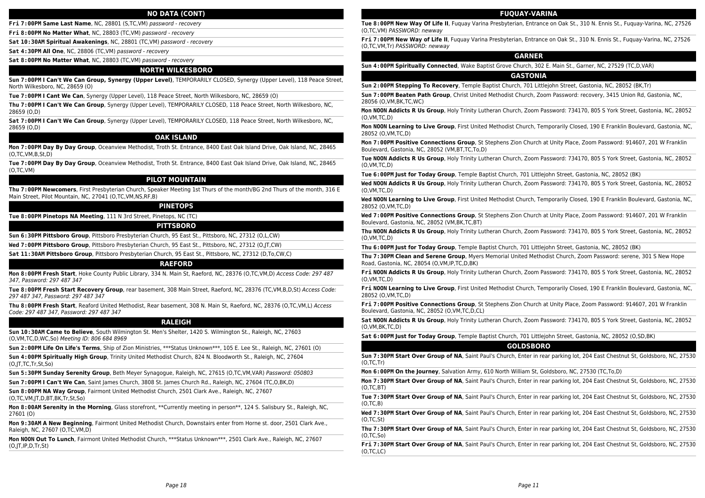#### **NO DATA (CONT)**

**Fri 7:00PM Same Last Name**, NC, 28801 (S,TC,VM) password - recovery

**Fri 8:00PM No Matter What**, NC, 28803 (TC,VM) password - recovery

**Sat 10:30AM Spiritual Awakenings**, NC, 28801 (TC,VM) password - recovery

**Sat 4:30PM All One**, NC, 28806 (TC,VM) password - recovery

**Sat 8:00PM No Matter What**, NC, 28803 (TC,VM) password - recovery

#### **NORTH WILKESBORO**

**Sun 7:00PM I Can't We Can Group, Synergy (Upper Level)**, TEMPORARILY CLOSED, Synergy (Upper Level), 118 Peace Street, North Wilkesboro, NC, 28659 (O)

**Tue 7:00PM I Cant We Can**, Synergy (Upper Level), 118 Peace Street, North Wilkesboro, NC, 28659 (O)

**Thu 7:00PM I Can't We Can Group**, Synergy (Upper Level), TEMPORARILY CLOSED, 118 Peace Street, North Wilkesboro, NC, 28659 (O,D)

**Sat 7:00PM I Can't We Can Group**, Synergy (Upper Level), TEMPORARILY CLOSED, 118 Peace Street, North Wilkesboro, NC, 28659 (O,D)

# **OAK ISLAND**

**Mon 7:00PM Day By Day Group**, Oceanview Methodist, Troth St. Entrance, 8400 East Oak Island Drive, Oak Island, NC, 28465 (O,TC,VM,B,St,D)

**Tue 7:00PM Day By Day Group**, Oceanview Methodist, Troth St. Entrance, 8400 East Oak Island Drive, Oak Island, NC, 28465 (O,TC,VM)

# **PILOT MOUNTAIN**

**Thu 7:00PM Newcomers**, First Presbyterian Church, Speaker Meeting 1st Thurs of the month/BG 2nd Thurs of the month, 316 E Main Street, Pilot Mountain, NC, 27041 (O,TC,VM,NS,RF,B)

# **PINETOPS**

**Tue 8:00PM Pinetops NA Meeting**, 111 N 3rd Street, Pinetops, NC (TC)

#### **PITTSBORO**

**Sun 6:30PM Pittsboro Group**, Pittsboro Presbyterian Church, 95 East St., Pittsboro, NC, 27312 (O,L,CW)

**Wed 7:00PM Pittsboro Group**, Pittsboro Presbyterian Church, 95 East St., Pittsboro, NC, 27312 (O,JT,CW)

**Sat 11:30AM Pittsboro Group**, Pittsboro Presbyterian Church, 95 East St., Pittsboro, NC, 27312 (D,To,CW,C)

#### **RAEFORD**

**Mon 8:00PM Fresh Start**, Hoke County Public Library, 334 N. Main St, Raeford, NC, 28376 (O,TC,VM,D) Access Code: 297 487 347, Password: 297 487 347

**Tue 8:00PM Fresh Start Recovery Group**, rear basement, 308 Main Street, Raeford, NC, 28376 (TC,VM,B,D,St) Access Code: 297 487 347, Password: 297 487 347

**Thu 8:00PM Fresh Start**, Reaford United Methodist, Rear basement, 308 N. Main St, Raeford, NC, 28376 (O,TC,VM,L) Access Code: 297 487 347, Password: 297 487 347

#### **RALEIGH**

**Sun 10:30AM Came to Believe**, South Wilmington St. Men's Shelter, 1420 S. Wilmington St., Raleigh, NC, 27603 (O,VM,TC,D,WC,So) Meeting ID: 806 684 8969

**Sun 2:00PM Life On Life's Terms**, Ship of Zion Ministries, \*\*\*Status Unknown\*\*\*, 105 E. Lee St., Raleigh, NC, 27601 (O)

**Sun 4:00PM Spiritually High Group**, Trinity United Methodist Church, 824 N. Bloodworth St., Raleigh, NC, 27604 (O,JT,TC,Tr,St,So)

**Sun 5:30PM Sunday Serenity Group**, Beth Meyer Synagogue, Raleigh, NC, 27615 (O,TC,VM,VAR) Password: 050803

**Sun 7:00PM I Can't We Can**, Saint James Church, 3808 St. James Church Rd., Raleigh, NC, 27604 (TC,O,BK,D)

**Sun 8:00PM NA Way Group**, Fairmont United Methodist Church, 2501 Clark Ave., Raleigh, NC, 27607

(O,TC,VM,JT,D,BT,BK,Tr,St,So)

**Mon 8:00AM Serenity in the Morning**, Glass storefront, \*\*Currently meeting in person\*\*, 124 S. Salisbury St., Raleigh, NC, 27601 (O)

**Mon 9:30AM A New Beginning**, Fairmont United Methodist Church, Downstairs enter from Horne st. door, 2501 Clark Ave., Raleigh, NC, 27607 (O,TC,VM,D)

**Mon NOON Out To Lunch**, Fairmont United Methodist Church, \*\*\*Status Unknown\*\*\*, 2501 Clark Ave., Raleigh, NC, 27607 (O,JT,IP,D,Tr,St)

#### **FUQUAY-VARINA**

**Tue 8:00PM New Way Of Life II**, Fuquay Varina Presbyterian, Entrance on Oak St., 310 N. Ennis St., Fuquay-Varina, NC, 27526 (O,TC,VM) PASSWORD: newway

**Fri 7:00PM New Way of Life II**, Fuquay Varina Presbyterian, Entrance on Oak St., 310 N. Ennis St., Fuquay-Varina, NC, 27526 (O,TC,VM,Tr) PASSWORD: newway

# **GARNER**

**Sun 4:00PM Spiritually Connected**, Wake Baptist Grove Church, 302 E. Main St., Garner, NC, 27529 (TC,D,VAR)

# **GASTONIA**

**Sun 2:00PM Stepping To Recovery**, Temple Baptist Church, 701 Littlejohn Street, Gastonia, NC, 28052 (BK,Tr)

**Sun 7:00PM Beaten Path Group**, Christ United Methodist Church, Zoom Password: recovery, 3415 Union Rd, Gastonia, NC, 28056 (O,VM,BK,TC,WC)

**Mon NOON Addicts R Us Group**, Holy Trinity Lutheran Church, Zoom Password: 734170, 805 S York Street, Gastonia, NC, 28052 (O,VM,TC,D)

**Mon NOON Learning to Live Group**, First United Methodist Church, Temporarily Closed, 190 E Franklin Boulevard, Gastonia, NC, 28052 (O,VM,TC,D)

**Mon 7:00PM Positive Connections Group**, St Stephens Zion Church at Unity Place, Zoom Password: 914607, 201 W Franklin Boulevard, Gastonia, NC, 28052 (VM,BT,TC,To,D)

**Tue NOON Addicts R Us Group**, Holy Trinity Lutheran Church, Zoom Password: 734170, 805 S York Street, Gastonia, NC, 28052 (O,VM,TC,D)

**Tue 6:00PM Just for Today Group**, Temple Baptist Church, 701 Littlejohn Street, Gastonia, NC, 28052 (BK)

**Wed NOON Addicts R Us Group**, Holy Trinity Lutheran Church, Zoom Password: 734170, 805 S York Street, Gastonia, NC, 28052 (O,VM,TC,D)

**Wed NOON Learning to Live Group**, First United Methodist Church, Temporarily Closed, 190 E Franklin Boulevard, Gastonia, NC, 28052 (O,VM,TC,D)

**Wed 7:00PM Positive Connections Group**, St Stephens Zion Church at Unity Place, Zoom Password: 914607, 201 W Franklin Boulevard, Gastonia, NC, 28052 (VM,BK,TC,BT)

**Thu NOON Addicts R Us Group**, Holy Trinity Lutheran Church, Zoom Password: 734170, 805 S York Street, Gastonia, NC, 28052 (O,VM,TC,D)

**Thu 6:00PM Just for Today Group**, Temple Baptist Church, 701 Littlejohn Street, Gastonia, NC, 28052 (BK)

**Thu 7:30PM Clean and Serene Group**, Myers Memorial United Methodist Church, Zoom Password: serene, 301 S New Hope Road, Gastonia, NC, 28054 (O,VM,IP,TC,D,BK)

**Fri NOON Addicts R Us Group**, Holy Trinity Lutheran Church, Zoom Password: 734170, 805 S York Street, Gastonia, NC, 28052 (O,VM,TC,D)

**Fri NOON Learning to Live Group**, First United Methodist Church, Temporarily Closed, 190 E Franklin Boulevard, Gastonia, NC, 28052 (O,VM,TC,D)

**Fri 7:00PM Positive Connections Group**, St Stephens Zion Church at Unity Place, Zoom Password: 914607, 201 W Franklin Boulevard, Gastonia, NC, 28052 (O,VM,TC,D,CL)

**Sat NOON Addicts R Us Group**, Holy Trinity Lutheran Church, Zoom Password: 734170, 805 S York Street, Gastonia, NC, 28052 (O,VM,BK,TC,D)

**Sat 6:00PM Just for Today Group**, Temple Baptist Church, 701 Littlejohn Street, Gastonia, NC, 28052 (O,SD,BK)

#### **GOLDSBORO**

**Sun 7:30PM Start Over Group of NA**, Saint Paul's Church, Enter in rear parking lot, 204 East Chestnut St, Goldsboro, NC, 27530 (O,TC,Tr)

**Mon 6:00PM On the Journey**, Salvation Army, 610 North William St, Goldsboro, NC, 27530 (TC,To,D)

**Mon 7:30PM Start Over Group of NA**, Saint Paul's Church, Enter in rear parking lot, 204 East Chestnut St, Goldsboro, NC, 27530 (O,TC,BT)

**Tue 7:30PM Start Over Group of NA**, Saint Paul's Church, Enter in rear parking lot, 204 East Chestnut St, Goldsboro, NC, 27530 (O,TC,B)

**Wed 7:30PM Start Over Group of NA**, Saint Paul's Church, Enter in rear parking lot, 204 East Chestnut St, Goldsboro, NC, 27530 (O,TC,St)

**Thu 7:30PM Start Over Group of NA**, Saint Paul's Church, Enter in rear parking lot, 204 East Chestnut St, Goldsboro, NC, 27530 (O,TC,So)

**Fri 7:30PM Start Over Group of NA**, Saint Paul's Church, Enter in rear parking lot, 204 East Chestnut St, Goldsboro, NC, 27530 (O,TC,LC)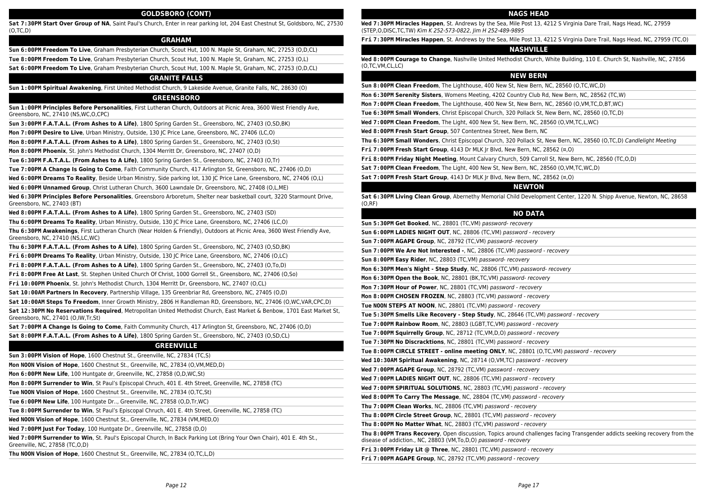#### **GOLDSBORO (CONT)**

**Sat 7:30PM Start Over Group of NA**, Saint Paul's Church, Enter in rear parking lot, 204 East Chestnut St, Goldsboro, NC, 27530 (O,TC,D)

# **GRAHAM**

**Sun 6:00PM Freedom To Live**, Graham Presbyterian Church, Scout Hut, 100 N. Maple St, Graham, NC, 27253 (O,D,CL)

**Tue 8:00PM Freedom To Live**, Graham Presbyterian Church, Scout Hut, 100 N. Maple St, Graham, NC, 27253 (O,L)

**Sat 6:00PM Freedom To Live**, Graham Presbyterian Church, Scout Hut, 100 N. Maple St, Graham, NC, 27253 (O,D,CL)

#### **GRANITE FALLS**

**Sun 1:00PM Spiritual Awakening**, First United Methodist Church, 9 Lakeside Avenue, Granite Falls, NC, 28630 (O)

#### **GREENSBORO**

**Sun 1:00PM Principles Before Personalities**, First Lutheran Church, Outdoors at Picnic Area, 3600 West Friendly Ave, Greensboro, NC, 27410 (NS,WC,O,CPC)

**Sun 3:00PM F.A.T.A.L. (From Ashes to A Life)**, 1800 Spring Garden St., Greensboro, NC, 27403 (O,SD,BK)

**Mon 7:00PM Desire to Live**, Urban Ministry, Outside, 130 JC Price Lane, Greensboro, NC, 27406 (LC,O)

**Mon 8:00PM F.A.T.A.L. (From Ashes to A Life)**, 1800 Spring Garden St., Greensboro, NC, 27403 (O,St)

**Mon 8:00PM Phoenix**, St. John's Methodist Church, 1304 Merritt Dr, Greensboro, NC, 27407 (O,D)

**Tue 6:30PM F.A.T.A.L. (From Ashes to A Life)**, 1800 Spring Garden St., Greensboro, NC, 27403 (O,Tr)

**Tue 7:00PM A Change Is Going to Come**, Faith Community Church, 417 Arlington St, Greensboro, NC, 27406 (O,D)

**Wed 6:00PM Dreams To Reality**, Beside Urban Ministry, Side parking lot, 130 JC Price Lane, Greensboro, NC, 27406 (O,L)

**Wed 6:00PM Unnamed Group**, Christ Lutheran Church, 3600 Lawndale Dr, Greensboro, NC, 27408 (O,L,ME)

**Wed 6:30PM Principles Before Personalities**, Greensboro Arboretum, Shelter near basketball court, 3220 Starmount Drive, Greensboro, NC, 27403 (BT)

**Wed 8:00PM F.A.T.A.L. (From Ashes to A Life)**, 1800 Spring Garden St., Greensboro, NC, 27403 (SD)

**Thu 6:00PM Dreams To Reality**, Urban Ministry, Outside, 130 JC Price Lane, Greensboro, NC, 27406 (LC,O)

**Thu 6:30PM Awakenings**, First Lutheran Church (Near Holden & Friendly), Outdoors at Picnic Area, 3600 West Friendly Ave, Greensboro, NC, 27410 (NS,LC,WC)

**Thu 6:30PM F.A.T.A.L. (From Ashes to A Life)**, 1800 Spring Garden St., Greensboro, NC, 27403 (O,SD,BK)

**Fri 6:00PM Dreams To Reality**, Urban Ministry, Outside, 130 JC Price Lane, Greensboro, NC, 27406 (O,LC)

**Fri 8:00PM F.A.T.A.L. (From Ashes to A Life)**, 1800 Spring Garden St., Greensboro, NC, 27403 (O,To,D)

**Fri 8:00PM Free At Last**, St. Stephen United Church Of Christ, 1000 Gorrell St., Greensboro, NC, 27406 (O,So)

**Fri 10:00PM Phoenix**, St. John's Methodist Church, 1304 Merritt Dr, Greensboro, NC, 27407 (O,CL)

**Sat 10:00AM Partners In Recovery**, Partnership Village, 135 Greenbriar Rd, Greensboro, NC, 27405 (O,D)

**Sat 10:00AM Steps To Freedom**, Inner Growth Ministry, 2806 H Randleman RD, Greensboro, NC, 27406 (O,WC,VAR,CPC,D)

**Sat 12:30PM No Reservations Required**, Metropolitan United Methodist Church, East Market & Benbow, 1701 East Market St, Greensboro, NC, 27401 (O,IW,Tr,St)

**Sat 7:00PM A Change Is Going to Come**, Faith Community Church, 417 Arlington St, Greensboro, NC, 27406 (O,D)

**Sat 8:00PM F.A.T.A.L. (From Ashes to A Life)**, 1800 Spring Garden St., Greensboro, NC, 27403 (O,SD,CL)

#### **GREENVILLE**

| Sun 3:00PM Vision of Hope, 1600 Chestnut St., Greenville, NC, 27834 (TC,S) |
|----------------------------------------------------------------------------|
|----------------------------------------------------------------------------|

**Mon NOON Vision of Hope**, 1600 Chestnut St., Greenville, NC, 27834 (O,VM,MED,D)

**Mon 6:00PM New Life**, 100 Huntgate dr, Greenville, NC, 27858 (O,D,WC,St)

**Mon 8:00PM Surrender to Win**, St Paul's Episcopal Chruch, 401 E. 4th Street, Greenville, NC, 27858 (TC)

**Tue NOON Vision of Hope**, 1600 Chestnut St., Greenville, NC, 27834 (O,TC,St)

**Tue 6:00PM New Life**, 100 Huntgate Dr.., Greenville, NC, 27858 (O,D,Tr,WC)

**Tue 8:00PM Surrender to Win**, St Paul's Episcopal Chruch, 401 E. 4th Street, Greenville, NC, 27858 (TC)

**Wed NOON Vision of Hope**, 1600 Chestnut St., Greenville, NC, 27834 (VM,MED,O)

**Wed 7:00PM Just For Today**, 100 Huntgate Dr., Greenville, NC, 27858 (D,O)

**Wed 7:00PM Surrender to Win**, St. Paul's Episcopal Church, In Back Parking Lot (Bring Your Own Chair), 401 E. 4th St., Greenville, NC, 27858 (TC,O,D)

**Thu NOON Vision of Hope**, 1600 Chestnut St., Greenville, NC, 27834 (O,TC,L,D)

#### **NAGS HEAD**

**Wed 7:30PM Miracles Happen**, St. Andrews by the Sea, Mile Post 13, 4212 S Virginia Dare Trail, Nags Head, NC, 27959 (STEP,O,DISC,TC,TW) Kim K 252-573-0822, Jim H 252-489-9895

**Fri 7:30PM Miracles Happen**, St. Andrews by the Sea, Mile Post 13, 4212 S Virginia Dare Trail, Nags Head, NC, 27959 (TC,O)

#### **NASHVILLE**

**Wed 8:00PM Courage to Change**, Nashville United Methodist Church, White Building, 110 E. Church St, Nashville, NC, 27856 (O,TC,VM,CL,LC)

# **NEW BERN**

**Sun 8:00PM Clean Freedom**, The Lighthouse, 400 New St, New Bern, NC, 28560 (O,TC,WC,D)

**Mon 6:30PM Serenity Sisters**, Womens Meeting, 4202 Country Club Rd, New Bern, NC, 28562 (TC,W)

**Mon 7:00PM Clean Freedom**, The Lighthouse, 400 New St, New Bern, NC, 28560 (O,VM,TC,D,BT,WC)

**Tue 6:30PM Small Wonders**, Christ Episcopal Church, 320 Pollack St, New Bern, NC, 28560 (O,TC,D)

**Wed 7:00PM Clean Freedom**, The Light, 400 New St, New Bern, NC, 28560 (O,VM,TC,L,WC)

**Wed 8:00PM Fresh Start Group**, 507 Contentnea Street, New Bern, NC

**Thu 6:30PM Small Wonders**, Christ Episcopal Church, 320 Pollack St, New Bern, NC, 28560 (O,TC,D) Candlelight Meeting

**Fri 7:00PM Fresh Start Group**, 4143 Dr MLK Jr Blvd, New Bern, NC, 28562 (¤,O)

**Fri 8:00PM Friday Night Meeting**, Mount Calvary Church, 509 Carroll St, New Bern, NC, 28560 (TC,O,D)

**Sat 7:00PM Clean Freedom**, The Light, 400 New St, New Bern, NC, 28560 (O,VM,TC,WC,D)

**Sat 7:00PM Fresh Start Group**, 4143 Dr MLK Jr Blvd, New Bern, NC, 28562 (¤,O)

#### **NEWTON**

**Sat 6:30PM Living Clean Group**, Abernethy Memorial Child Development Center, 1220 N. Shipp Avenue, Newton, NC, 28658 (O,RF)

#### **NO DATA**

| Sun 5:30PM Get Booked, NC, 28801 (TC, VM) password-recovery                                                                                                                                      |
|--------------------------------------------------------------------------------------------------------------------------------------------------------------------------------------------------|
| Sun 6:00PM LADIES NIGHT OUT, NC, 28806 (TC, VM) password - recovery                                                                                                                              |
| Sun 7:00PM AGAPE Group, NC, 28792 (TC, VM) password-recovery                                                                                                                                     |
| Sun 7:00PM We Are Not Interested -, NC, 28806 (TC,VM) password - recovery                                                                                                                        |
| Sun 8:00PM Easy Rider, NC, 28803 (TC, VM) password-recovery                                                                                                                                      |
| Mon 6:30PM Men's Night - Step Study, NC, 28806 (TC, VM) password-recovery                                                                                                                        |
| Mon 6:30PM Open the Book, NC, 28801 (BK, TC, VM) password-recovery                                                                                                                               |
| Mon 7:30PM Hour of Power, NC, 28801 (TC, VM) password - recovery                                                                                                                                 |
| Mon 8:00PM CHOSEN FROZEN, NC, 28803 (TC, VM) password - recovery                                                                                                                                 |
| Tue NOON STEPS AT NOON, NC, 28801 (TC, VM) password - recovery                                                                                                                                   |
| Tue 5:30PM Smells Like Recovery - Step Study, NC, 28646 (TC,VM) password - recovery                                                                                                              |
| Tue 7:00PM Rainbow Room, NC, 28803 (LGBT, TC, VM) password - recovery                                                                                                                            |
| Tue 7:00PM Squirrelly Group, NC, 28712 (TC, VM, D, O) password - recovery                                                                                                                        |
| Tue 7:30PM No Discracktions, NC, 28801 (TC, VM) password - recovery                                                                                                                              |
| Tue 8:00PM CIRCLE STREET - online meeting ONLY, NC, 28801 (O,TC,VM) password - recovery                                                                                                          |
| Wed 10:30AM Spiritual Awakening, NC, 28714 (O, VM, TC) password - recovery                                                                                                                       |
| Wed 7:00PM AGAPE Group, NC, 28792 (TC, VM) password - recovery                                                                                                                                   |
| Wed 7:00PM LADIES NIGHT OUT, NC, 28806 (TC, VM) password - recovery                                                                                                                              |
| Wed 7:00PM SPIRITUAL SOLUTIONS, NC, 28803 (TC, VM) password - recovery                                                                                                                           |
| Wed 8:00PM To Carry The Message, NC, 28804 (TC, VM) password - recovery                                                                                                                          |
| Thu 7:00PM Clean Works, NC, 28806 (TC, VM) password - recovery                                                                                                                                   |
| Thu 8:00PM Circle Street Group, NC, 28801 (TC, VM) password - recovery                                                                                                                           |
| Thu 8:00PM No Matter What, NC, 28803 (TC, VM) password - recovery                                                                                                                                |
| Thu 8:00PM Trans Recovery, Open discussion, Topics around challenges facing Transgender addicts seeking recovery from the<br>disease of addiction., NC, 28803 (VM, To, D, O) password - recovery |
| Fri 3:00PM Friday Lit @ Three, NC, 28801 (TC, VM) password - recovery                                                                                                                            |
| Fri 7:00PM AGAPE Group, NC, 28792 (TC, VM) password - recovery                                                                                                                                   |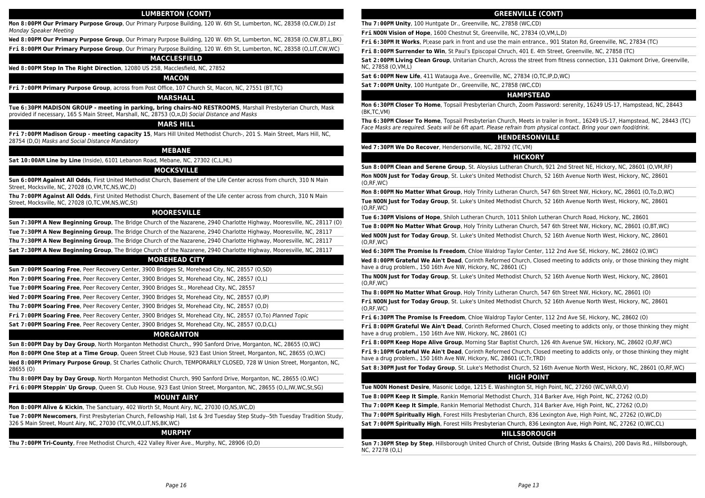## **LUMBERTON (CONT)**

**Mon 8:00PM Our Primary Purpose Group**, Our Primary Purpose Building, 120 W. 6th St, Lumberton, NC, 28358 (O,CW,D) 1st Monday Speaker Meeting

**Wed 8:00PM Our Primary Purpose Group**, Our Primary Purpose Building, 120 W. 6th St, Lumberton, NC, 28358 (O,CW,BT,L,BK)

**Fri 8:00PM Our Primary Purpose Group**, Our Primary Purpose Building, 120 W. 6th St, Lumberton, NC, 28358 (O,LIT,CW,WC)

#### **MACCLESFIELD**

**Wed 8:00PM Step In The Right Direction**, 12080 US 258, Macclesfield, NC, 27852

#### **MACON**

**Fri 7:00PM Primary Purpose Group**, across from Post Office, 107 Church St, Macon, NC, 27551 (BT,TC)

# **MARSHALL**

**Tue 6:30PM MADISON GROUP - meeting in parking, bring chairs-NO RESTROOMS**, Marshall Presbyterian Church, Mask provided if necessary, 165 S Main Street, Marshall, NC, 28753 (O,¤,D) Social Distance and Masks

#### **MARS HILL**

**Fri 7:00PM Madison Group - meeting capacity 15**, Mars Hill United Methodist Church-, 201 S. Main Street, Mars Hill, NC, 28754 (D,O) Masks and Social Distance Mandatory

# **MEBANE**

**Sat 10:00AM Line by Line** (Inside), 6101 Lebanon Road, Mebane, NC, 27302 (C,L,HL)

# **MOCKSVILLE**

**Sun 6:00PM Against All Odds**, First United Methodist Church, Basement of the Life Center across from church, 310 N Main Street, Mocksville, NC, 27028 (O,VM,TC,NS,WC,D)

**Thu 7:00PM Against All Odds**, First United Methodist Church, Basement of the Life center across from church, 310 N Main Street, Mocksville, NC, 27028 (O,TC,VM,NS,WC,St)

# **MOORESVILLE**

**Sun 7:30PM A New Beginning Group**, The Bridge Church of the Nazarene, 2940 Charlotte Highway, Mooresville, NC, 28117 (O)

**Tue 7:30PM A New Beginning Group**, The Bridge Church of the Nazarene, 2940 Charlotte Highway, Mooresville, NC, 28117

**Thu 7:30PM A New Beginning Group**, The Bridge Church of the Nazarene, 2940 Charlotte Highway, Mooresville, NC, 28117

**Sat 7:30PM A New Beginning Group**, The Bridge Church of the Nazarene, 2940 Charlotte Highway, Mooresville, NC, 28117

#### **MOREHEAD CITY**

**Sun 7:00PM Soaring Free**, Peer Recovery Center, 3900 Bridges St, Morehead City, NC, 28557 (O,SD)

**Mon 7:00PM Soaring Free**, Peer Recovery Center, 3900 Bridges St, Morehead City, NC, 28557 (O,L)

**Tue 7:00PM Soaring Free**, Peer Recovery Center, 3900 Bridges St., Morehead City, NC, 28557

**Wed 7:00PM Soaring Free**, Peer Recovery Center, 3900 Bridges St, Morehead City, NC, 28557 (O,IP)

**Thu 7:00PM Soaring Free**, Peer Recovery Center, 3900 Bridges St, Morehead City, NC, 28557 (O,D)

**Fri 7:00PM Soaring Free**, Peer Recovery Center, 3900 Bridges St, Morehead City, NC, 28557 (O,To) Planned Topic

**Sat 7:00PM Soaring Free**, Peer Recovery Center, 3900 Bridges St, Morehead City, NC, 28557 (O,D,CL)

# **MORGANTON**

**Sun 8:00PM Day by Day Group**, North Morganton Methodist Church,, 990 Sanford Drive, Morganton, NC, 28655 (O,WC)

**Mon 8:00PM One Step at a Time Group**, Queen Street Club House, 923 East Union Street, Morganton, NC, 28655 (O,WC)

**Wed 8:00PM Primary Purpose Group**, St Charles Catholic Church, TEMPORARILY CLOSED, 728 W Union Street, Morganton, NC, 28655 (O)

**Thu 8:00PM Day by Day Group**, North Morganton Methodist Church, 990 Sanford Drive, Morganton, NC, 28655 (O,WC)

**Fri 6:00PM Steppin' Up Group**, Queen St. Club House, 923 East Union Street, Morganton, NC, 28655 (O,L,IW,WC,St,SG)

#### **MOUNT AIRY**

**Mon 8:00PM Alive & Kickin**, The Sanctuary, 402 Worth St, Mount Airy, NC, 27030 (O,NS,WC,D)

**Tue 7:00PM Newcomers**, First Presbyterian Church, Fellowship Hall, 1st & 3rd Tuesday Step Study--5th Tuesday Tradition Study, 326 S Main Street, Mount Airy, NC, 27030 (TC,VM,O,LIT,NS,BK,WC)

#### **MURPHY**

**Thu 7:00PM Tri-County**, Free Methodist Church, 422 Valley River Ave., Murphy, NC, 28906 (O,D)

#### **GREENVILLE (CONT)**

**Thu 7:00PM Unity**, 100 Huntgate Dr., Greenville, NC, 27858 (WC,CD)

**Fri NOON Vision of Hope**, 1600 Chestnut St, Greenville, NC, 27834 (O,VM,L,D)

**Fri 6:30PM It Works**, Pl;ease park in front and use the main entrance., 901 Staton Rd, Greenville, NC, 27834 (TC)

**Fri 8:00PM Surrender to Win**, St Paul's Episcopal Chruch, 401 E. 4th Street, Greenville, NC, 27858 (TC)

**Sat 2:00PM Living Clean Group**, Unitarian Church, Across the street from fitness connection, 131 Oakmont Drive, Greenville, NC, 27858 (O,VM,L)

**Sat 6:00PM New Life**, 411 Watauga Ave., Greenville, NC, 27834 (O,TC,IP,D,WC)

**Sat 7:00PM Unity**, 100 Huntgate Dr., Greenville, NC, 27858 (WC,CD)

### **HAMPSTEAD**

**Mon 6:30PM Closer To Home**, Topsail Presbyterian Church, Zoom Password: serenity, 16249 US-17, Hampstead, NC, 28443 (BK,TC,VM)

**Thu 6:30PM Closer To Home**, Topsail Presbyterian Church, Meets in trailer in front., 16249 US-17, Hampstead, NC, 28443 (TC) Face Masks are required. Seats will be 6ft apart. Please refrain from physical contact. Bring your own food/drink.

# **HENDERSONVILLE**

**Wed 7:30PM We Do Recover**, Hendersonville, NC, 28792 (TC,VM)

#### **HICKORY**

**Sun 8:00PM Clean and Serene Group**, St. Aloysius Lutheran Church, 921 2nd Street NE, Hickory, NC, 28601 (O,VM,RF)

**Mon NOON Just for Today Group**, St. Luke's United Methodist Church, 52 16th Avenue North West, Hickory, NC, 28601 (O,RF,WC)

**Mon 8:00PM No Matter What Group**, Holy Trinity Lutheran Church, 547 6th Street NW, Hickory, NC, 28601 (O,To,D,WC)

**Tue NOON Just for Today Group**, St. Luke's United Methodist Church, 52 16th Avenue North West, Hickory, NC, 28601 (O,RF,WC)

**Tue 6:30PM Visions of Hope**, Shiloh Lutheran Church, 1011 Shiloh Lutheran Church Road, Hickory, NC, 28601

**Tue 8:00PM No Matter What Group**, Holy Trinity Lutheran Church, 547 6th Street NW, Hickory, NC, 28601 (O,BT,WC)

**Wed NOON Just for Today Group**, St. Luke's United Methodist Church, 52 16th Avenue North West, Hickory, NC, 28601 (O,RF,WC)

**Wed 6:30PM The Promise Is Freedom**, Chloe Waldrop Taylor Center, 112 2nd Ave SE, Hickory, NC, 28602 (O,WC)

**Wed 8:00PM Grateful We Ain't Dead**, Corinth Reformed Church, Closed meeting to addicts only, or those thinking they might have a drug problem., 150 16th Ave NW, Hickory, NC, 28601 (C)

**Thu NOON Just for Today Group**, St. Luke's United Methodist Church, 52 16th Avenue North West, Hickory, NC, 28601 (O,RF,WC)

**Thu 8:00PM No Matter What Group**, Holy Trinity Lutheran Church, 547 6th Street NW, Hickory, NC, 28601 (O)

**Fri NOON Just for Today Group**, St. Luke's United Methodist Church, 52 16th Avenue North West, Hickory, NC, 28601 (O,RF,WC)

**Fri 6:30PM The Promise Is Freedom**, Chloe Waldrop Taylor Center, 112 2nd Ave SE, Hickory, NC, 28602 (O)

**Fri 8:00PM Grateful We Ain't Dead**, Corinth Reformed Church, Closed meeting to addicts only, or those thinking they might have a drug problem., 150 16th Ave NW, Hickory, NC, 28601 (C)

**Fri 8:00PM Keep Hope Alive Group**, Morning Star Baptist Church, 126 4th Avenue SW, Hickory, NC, 28602 (O,RF,WC)

**Fri 9:10PM Grateful We Ain't Dead**, Corinth Reformed Church, Closed meeting to addicts only, or those thinking they might have a drug problem., 150 16th Ave NW, Hickory, NC, 28601 (C,Tr,TRD)

**Sat 8:30PM Just for Today Group**, St. Luke's Methodist Church, 52 16th Avenue North West, Hickory, NC, 28601 (O,RF,WC)

# **HIGH POINT**

**Tue NOON Honest Desire**, Masonic Lodge, 1215 E. Washington St, High Point, NC, 27260 (WC,VAR,O,V)

**Tue 8:00PM Keep It Simple**, Rankin Memorial Methodist Church, 314 Barker Ave, High Point, NC, 27262 (O,D)

**Thu 7:00PM Keep It Simple**, Rankin Memorial Methodist Church, 314 Barker Ave, High Point, NC, 27262 (O,D)

**Thu 7:00PM Spiritually High**, Forest Hills Presbyterian Church, 836 Lexington Ave, High Point, NC, 27262 (O,WC,D)

**Sat 7:00PM Spiritually High**, Forest Hills Presbyterian Church, 836 Lexington Ave, High Point, NC, 27262 (O,WC,CL)

# **HILLSBOROUGH**

**Sun 7:30PM Step by Step**, Hillsborough United Church of Christ, Outside (Bring Masks & Chairs), 200 Davis Rd., Hillsborough, NC, 27278 (O,L)